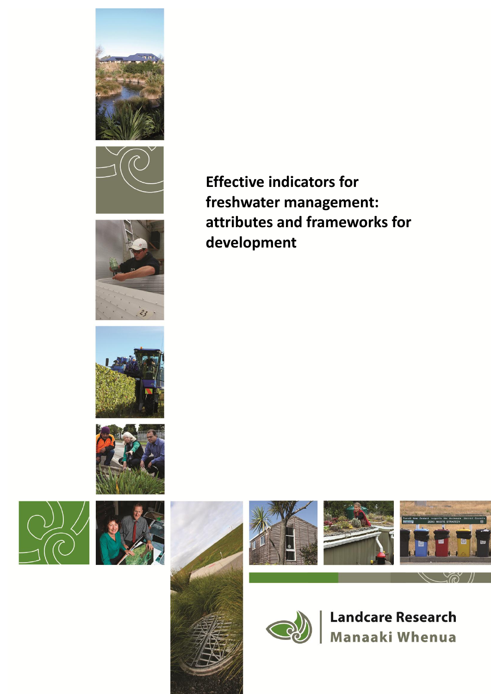















**Effective indicators for freshwater management: attributes and frameworks for development**





**Landcare Research** Manaaki Whenua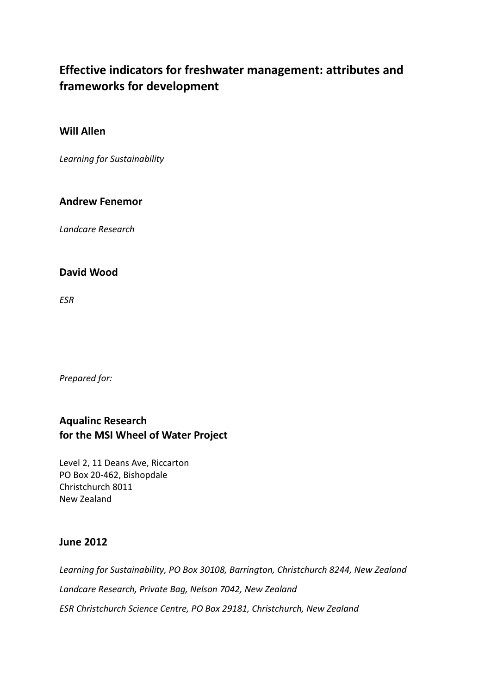# **Effective indicators for freshwater management: attributes and frameworks for development**

## **Will Allen**

*Learning for Sustainability*

## **Andrew Fenemor**

*Landcare Research*

## **David Wood**

*ESR*

*Prepared for:*

# **Aqualinc Research for the MSI Wheel of Water Project**

Level 2, 11 Deans Ave, Riccarton PO Box 20-462, Bishopdale Christchurch 8011 New Zealand

## **June 2012**

*Learning for Sustainability, PO Box 30108, Barrington, Christchurch 8244, New Zealand Landcare Research, Private Bag, Nelson 7042, New Zealand ESR Christchurch Science Centre, PO Box 29181, Christchurch, New Zealand*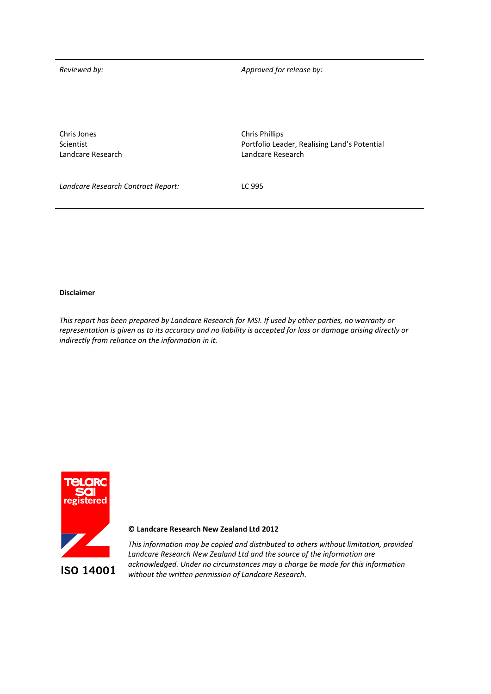*Reviewed by: Approved for release by:*

| Chris Jones       | <b>Chris Phillips</b>                        |
|-------------------|----------------------------------------------|
| Scientist         | Portfolio Leader, Realising Land's Potential |
| Landcare Research | Landcare Research                            |
|                   |                                              |

*Landcare Research Contract Report:* LC 995

#### **Disclaimer**

*This report has been prepared by Landcare Research for MSI. If used by other parties, no warranty or representation is given as to its accuracy and no liability is accepted for loss or damage arising directly or indirectly from reliance on the information in it.*



#### **© Landcare Research New Zealand Ltd 2012**

*This information may be copied and distributed to others without limitation, provided Landcare Research New Zealand Ltd and the source of the information are acknowledged. Under no circumstances may a charge be made for this information without the written permission of Landcare Research.*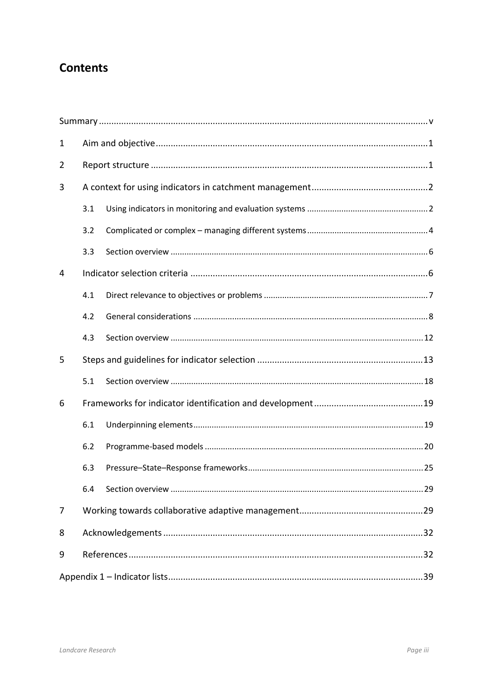# **Contents**

| $\mathbf{1}$   |     |  |  |
|----------------|-----|--|--|
| $\overline{2}$ |     |  |  |
| 3              |     |  |  |
|                | 3.1 |  |  |
|                | 3.2 |  |  |
|                | 3.3 |  |  |
| 4              |     |  |  |
|                | 4.1 |  |  |
|                | 4.2 |  |  |
|                | 4.3 |  |  |
| 5              |     |  |  |
|                | 5.1 |  |  |
| 6              |     |  |  |
|                | 6.1 |  |  |
|                | 6.2 |  |  |
|                | 6.3 |  |  |
|                | 6.4 |  |  |
| 7              |     |  |  |
| 8              |     |  |  |
| 9              |     |  |  |
|                |     |  |  |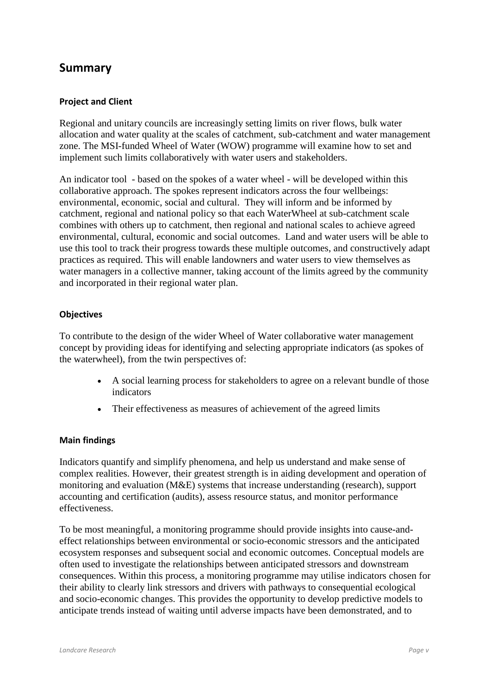# **Summary**

#### **Project and Client**

Regional and unitary councils are increasingly setting limits on river flows, bulk water allocation and water quality at the scales of catchment, sub-catchment and water management zone. The MSI-funded Wheel of Water (WOW) programme will examine how to set and implement such limits collaboratively with water users and stakeholders.

An indicator tool - based on the spokes of a water wheel - will be developed within this collaborative approach. The spokes represent indicators across the four wellbeings: environmental, economic, social and cultural. They will inform and be informed by catchment, regional and national policy so that each WaterWheel at sub-catchment scale combines with others up to catchment, then regional and national scales to achieve agreed environmental, cultural, economic and social outcomes. Land and water users will be able to use this tool to track their progress towards these multiple outcomes, and constructively adapt practices as required. This will enable landowners and water users to view themselves as water managers in a collective manner, taking account of the limits agreed by the community and incorporated in their regional water plan.

#### **Objectives**

To contribute to the design of the wider Wheel of Water collaborative water management concept by providing ideas for identifying and selecting appropriate indicators (as spokes of the waterwheel), from the twin perspectives of:

- A social learning process for stakeholders to agree on a relevant bundle of those indicators
- Their effectiveness as measures of achievement of the agreed limits

#### **Main findings**

Indicators quantify and simplify phenomena, and help us understand and make sense of complex realities. However, their greatest strength is in aiding development and operation of monitoring and evaluation (M&E) systems that increase understanding (research), support accounting and certification (audits), assess resource status, and monitor performance effectiveness.

To be most meaningful, a monitoring programme should provide insights into cause-andeffect relationships between environmental or socio-economic stressors and the anticipated ecosystem responses and subsequent social and economic outcomes. Conceptual models are often used to investigate the relationships between anticipated stressors and downstream consequences. Within this process, a monitoring programme may utilise indicators chosen for their ability to clearly link stressors and drivers with pathways to consequential ecological and socio-economic changes. This provides the opportunity to develop predictive models to anticipate trends instead of waiting until adverse impacts have been demonstrated, and to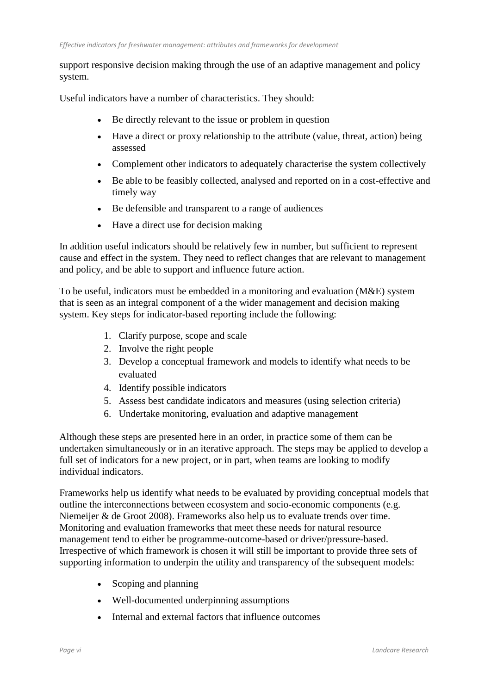support responsive decision making through the use of an adaptive management and policy system.

Useful indicators have a number of characteristics. They should:

- Be directly relevant to the issue or problem in question
- Have a direct or proxy relationship to the attribute (value, threat, action) being assessed
- Complement other indicators to adequately characterise the system collectively
- Be able to be feasibly collected, analysed and reported on in a cost-effective and timely way
- Be defensible and transparent to a range of audiences
- Have a direct use for decision making

In addition useful indicators should be relatively few in number, but sufficient to represent cause and effect in the system. They need to reflect changes that are relevant to management and policy, and be able to support and influence future action.

To be useful, indicators must be embedded in a monitoring and evaluation (M&E) system that is seen as an integral component of a the wider management and decision making system. Key steps for indicator-based reporting include the following:

- 1. Clarify purpose, scope and scale
- 2. Involve the right people
- 3. Develop a conceptual framework and models to identify what needs to be evaluated
- 4. Identify possible indicators
- 5. Assess best candidate indicators and measures (using selection criteria)
- 6. Undertake monitoring, evaluation and adaptive management

Although these steps are presented here in an order, in practice some of them can be undertaken simultaneously or in an iterative approach. The steps may be applied to develop a full set of indicators for a new project, or in part, when teams are looking to modify individual indicators.

Frameworks help us identify what needs to be evaluated by providing conceptual models that outline the interconnections between ecosystem and socio-economic components (e.g. Niemeijer & de Groot 2008). Frameworks also help us to evaluate trends over time. Monitoring and evaluation frameworks that meet these needs for natural resource management tend to either be programme-outcome-based or driver/pressure-based. Irrespective of which framework is chosen it will still be important to provide three sets of supporting information to underpin the utility and transparency of the subsequent models:

- Scoping and planning
- Well-documented underpinning assumptions
- Internal and external factors that influence outcomes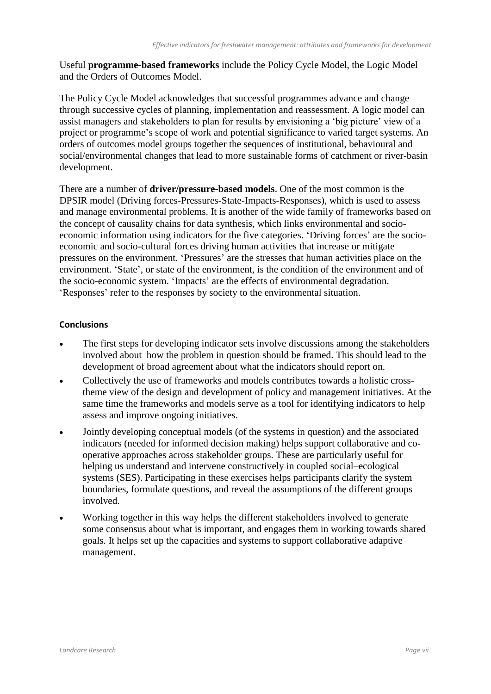Useful **programme-based frameworks** include the Policy Cycle Model, the Logic Model and the Orders of Outcomes Model.

The Policy Cycle Model acknowledges that successful programmes advance and change through successive cycles of planning, implementation and reassessment. A logic model can assist managers and stakeholders to plan for results by envisioning a 'big picture' view of a project or programme's scope of work and potential significance to varied target systems. An orders of outcomes model groups together the sequences of institutional, behavioural and social/environmental changes that lead to more sustainable forms of catchment or river-basin development.

There are a number of **driver/pressure-based models**. One of the most common is the DPSIR model (Driving forces-Pressures-State-Impacts-Responses), which is used to assess and manage environmental problems. It is another of the wide family of frameworks based on the concept of causality chains for data synthesis, which links environmental and socioeconomic information using indicators for the five categories. 'Driving forces' are the socioeconomic and socio-cultural forces driving human activities that increase or mitigate pressures on the environment. 'Pressures' are the stresses that human activities place on the environment. 'State', or state of the environment, is the condition of the environment and of the socio-economic system. 'Impacts' are the effects of environmental degradation. 'Responses' refer to the responses by society to the environmental situation.

### **Conclusions**

- The first steps for developing indicator sets involve discussions among the stakeholders involved about how the problem in question should be framed. This should lead to the development of broad agreement about what the indicators should report on.
- Collectively the use of frameworks and models contributes towards a holistic crosstheme view of the design and development of policy and management initiatives. At the same time the frameworks and models serve as a tool for identifying indicators to help assess and improve ongoing initiatives.
- Jointly developing conceptual models (of the systems in question) and the associated indicators (needed for informed decision making) helps support collaborative and cooperative approaches across stakeholder groups. These are particularly useful for helping us understand and intervene constructively in coupled social–ecological systems (SES). Participating in these exercises helps participants clarify the system boundaries, formulate questions, and reveal the assumptions of the different groups involved.
- Working together in this way helps the different stakeholders involved to generate some consensus about what is important, and engages them in working towards shared goals. It helps set up the capacities and systems to support collaborative adaptive management.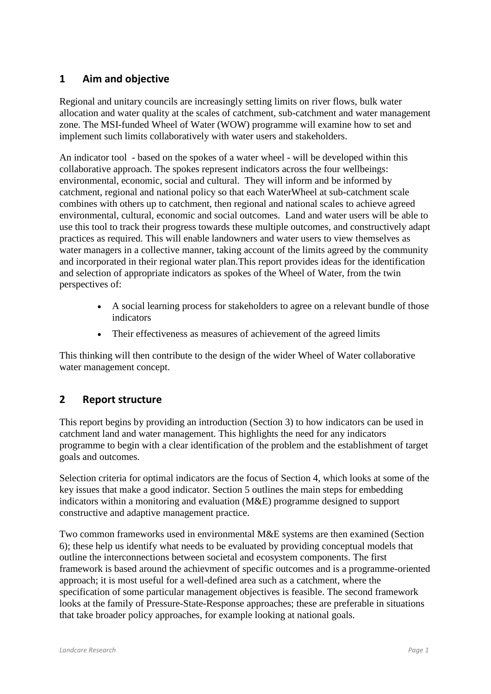## **1 Aim and objective**

Regional and unitary councils are increasingly setting limits on river flows, bulk water allocation and water quality at the scales of catchment, sub-catchment and water management zone. The MSI-funded Wheel of Water (WOW) programme will examine how to set and implement such limits collaboratively with water users and stakeholders.

An indicator tool - based on the spokes of a water wheel - will be developed within this collaborative approach. The spokes represent indicators across the four wellbeings: environmental, economic, social and cultural. They will inform and be informed by catchment, regional and national policy so that each WaterWheel at sub-catchment scale combines with others up to catchment, then regional and national scales to achieve agreed environmental, cultural, economic and social outcomes. Land and water users will be able to use this tool to track their progress towards these multiple outcomes, and constructively adapt practices as required. This will enable landowners and water users to view themselves as water managers in a collective manner, taking account of the limits agreed by the community and incorporated in their regional water plan.This report provides ideas for the identification and selection of appropriate indicators as spokes of the Wheel of Water, from the twin perspectives of:

- A social learning process for stakeholders to agree on a relevant bundle of those indicators
- Their effectiveness as measures of achievement of the agreed limits

This thinking will then contribute to the design of the wider Wheel of Water collaborative water management concept.

## **2 Report structure**

This report begins by providing an introduction (Section 3) to how indicators can be used in catchment land and water management. This highlights the need for any indicators programme to begin with a clear identification of the problem and the establishment of target goals and outcomes.

Selection criteria for optimal indicators are the focus of Section 4, which looks at some of the key issues that make a good indicator. Section 5 outlines the main steps for embedding indicators within a monitoring and evaluation (M&E) programme designed to support constructive and adaptive management practice.

Two common frameworks used in environmental M&E systems are then examined (Section 6); these help us identify what needs to be evaluated by providing conceptual models that outline the interconnections between societal and ecosystem components. The first framework is based around the achievment of specific outcomes and is a programme-oriented approach; it is most useful for a well-defined area such as a catchment, where the specification of some particular management objectives is feasible. The second framework looks at the family of Pressure-State-Response approaches; these are preferable in situations that take broader policy approaches, for example looking at national goals.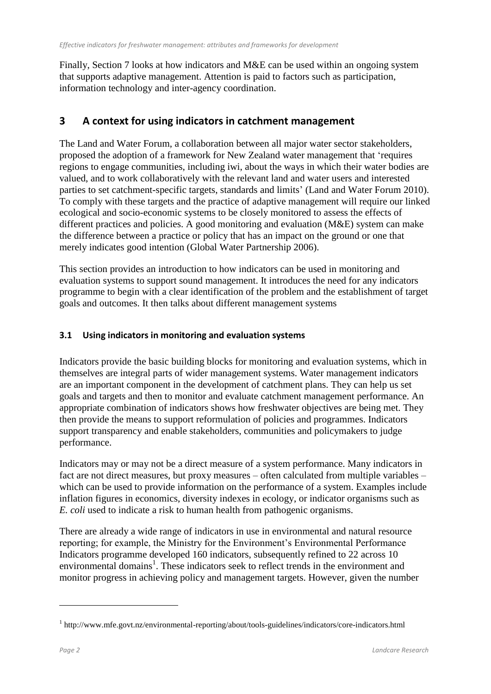Finally, Section 7 looks at how indicators and M&E can be used within an ongoing system that supports adaptive management. Attention is paid to factors such as participation, information technology and inter-agency coordination.

## **3 A context for using indicators in catchment management**

The Land and Water Forum, a collaboration between all major water sector stakeholders, proposed the adoption of a framework for New Zealand water management that 'requires regions to engage communities, including iwi, about the ways in which their water bodies are valued, and to work collaboratively with the relevant land and water users and interested parties to set catchment-specific targets, standards and limits' (Land and Water Forum 2010). To comply with these targets and the practice of adaptive management will require our linked ecological and socio-economic systems to be closely monitored to assess the effects of different practices and policies. A good monitoring and evaluation (M&E) system can make the difference between a practice or policy that has an impact on the ground or one that merely indicates good intention (Global Water Partnership 2006).

This section provides an introduction to how indicators can be used in monitoring and evaluation systems to support sound management. It introduces the need for any indicators programme to begin with a clear identification of the problem and the establishment of target goals and outcomes. It then talks about different management systems

## **3.1 Using indicators in monitoring and evaluation systems**

Indicators provide the basic building blocks for monitoring and evaluation systems, which in themselves are integral parts of wider management systems. Water management indicators are an important component in the development of catchment plans. They can help us set goals and targets and then to monitor and evaluate catchment management performance. An appropriate combination of indicators shows how freshwater objectives are being met. They then provide the means to support reformulation of policies and programmes. Indicators support transparency and enable stakeholders, communities and policymakers to judge performance.

Indicators may or may not be a direct measure of a system performance. Many indicators in fact are not direct measures, but proxy measures – often calculated from multiple variables – which can be used to provide information on the performance of a system. Examples include inflation figures in economics, diversity indexes in ecology, or indicator organisms such as *E. coli* used to indicate a risk to human health from pathogenic organisms.

There are already a wide range of indicators in use in environmental and natural resource reporting; for example, the Ministry for the Environment's Environmental Performance Indicators programme developed 160 indicators, subsequently refined to 22 across 10 environmental domains<sup>1</sup>. These indicators seek to reflect trends in the environment and monitor progress in achieving policy and management targets. However, given the number

1

<sup>&</sup>lt;sup>1</sup> http://www.mfe.govt.nz/environmental-reporting/about/tools-guidelines/indicators/core-indicators.html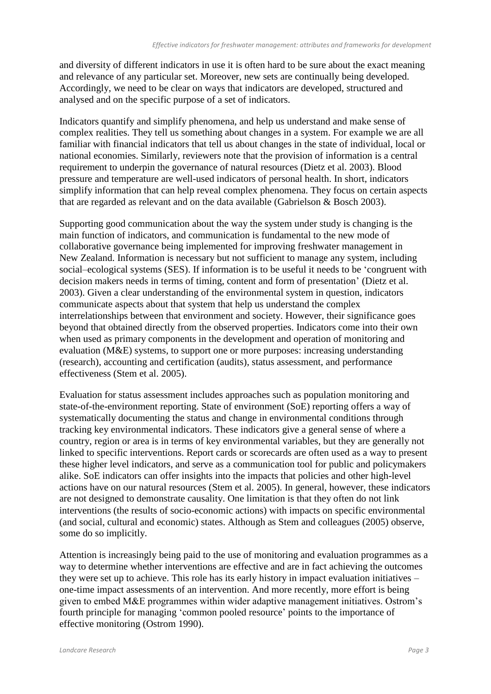and diversity of different indicators in use it is often hard to be sure about the exact meaning and relevance of any particular set. Moreover, new sets are continually being developed. Accordingly, we need to be clear on ways that indicators are developed, structured and analysed and on the specific purpose of a set of indicators.

Indicators quantify and simplify phenomena, and help us understand and make sense of complex realities. They tell us something about changes in a system. For example we are all familiar with financial indicators that tell us about changes in the state of individual, local or national economies. Similarly, reviewers note that the provision of information is a central requirement to underpin the governance of natural resources (Dietz et al. 2003). Blood pressure and temperature are well-used indicators of personal health. In short, indicators simplify information that can help reveal complex phenomena. They focus on certain aspects that are regarded as relevant and on the data available (Gabrielson & Bosch 2003).

Supporting good communication about the way the system under study is changing is the main function of indicators, and communication is fundamental to the new mode of collaborative governance being implemented for improving freshwater management in New Zealand. Information is necessary but not sufficient to manage any system, including social–ecological systems (SES). If information is to be useful it needs to be 'congruent with decision makers needs in terms of timing, content and form of presentation' (Dietz et al. 2003). Given a clear understanding of the environmental system in question, indicators communicate aspects about that system that help us understand the complex interrelationships between that environment and society. However, their significance goes beyond that obtained directly from the observed properties. Indicators come into their own when used as primary components in the development and operation of monitoring and evaluation (M&E) systems, to support one or more purposes: increasing understanding (research), accounting and certification (audits), status assessment, and performance effectiveness (Stem et al. 2005).

Evaluation for status assessment includes approaches such as population monitoring and state-of-the-environment reporting. State of environment (SoE) reporting offers a way of systematically documenting the status and change in environmental conditions through tracking key environmental indicators. These indicators give a general sense of where a country, region or area is in terms of key environmental variables, but they are generally not linked to specific interventions. Report cards or scorecards are often used as a way to present these higher level indicators, and serve as a communication tool for public and policymakers alike. SoE indicators can offer insights into the impacts that policies and other high-level actions have on our natural resources (Stem et al. 2005). In general, however, these indicators are not designed to demonstrate causality. One limitation is that they often do not link interventions (the results of socio-economic actions) with impacts on specific environmental (and social, cultural and economic) states. Although as Stem and colleagues (2005) observe, some do so implicitly.

Attention is increasingly being paid to the use of monitoring and evaluation programmes as a way to determine whether interventions are effective and are in fact achieving the outcomes they were set up to achieve. This role has its early history in impact evaluation initiatives – one-time impact assessments of an intervention. And more recently, more effort is being given to embed M&E programmes within wider adaptive management initiatives. Ostrom's fourth principle for managing 'common pooled resource' points to the importance of effective monitoring (Ostrom 1990).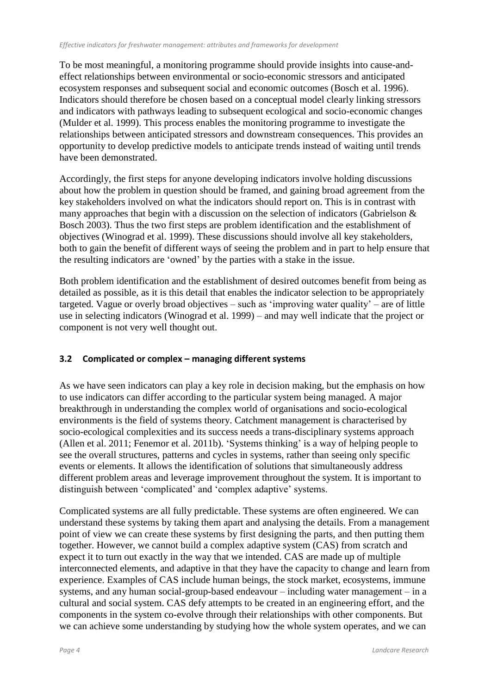To be most meaningful, a monitoring programme should provide insights into cause-andeffect relationships between environmental or socio-economic stressors and anticipated ecosystem responses and subsequent social and economic outcomes (Bosch et al. 1996). Indicators should therefore be chosen based on a conceptual model clearly linking stressors and indicators with pathways leading to subsequent ecological and socio-economic changes (Mulder et al. 1999). This process enables the monitoring programme to investigate the relationships between anticipated stressors and downstream consequences. This provides an opportunity to develop predictive models to anticipate trends instead of waiting until trends have been demonstrated.

Accordingly, the first steps for anyone developing indicators involve holding discussions about how the problem in question should be framed, and gaining broad agreement from the key stakeholders involved on what the indicators should report on. This is in contrast with many approaches that begin with a discussion on the selection of indicators (Gabrielson & Bosch 2003). Thus the two first steps are problem identification and the establishment of objectives (Winograd et al. 1999). These discussions should involve all key stakeholders, both to gain the benefit of different ways of seeing the problem and in part to help ensure that the resulting indicators are 'owned' by the parties with a stake in the issue.

Both problem identification and the establishment of desired outcomes benefit from being as detailed as possible, as it is this detail that enables the indicator selection to be appropriately targeted. Vague or overly broad objectives – such as 'improving water quality' – are of little use in selecting indicators (Winograd et al. 1999) – and may well indicate that the project or component is not very well thought out.

## **3.2 Complicated or complex – managing different systems**

As we have seen indicators can play a key role in decision making, but the emphasis on how to use indicators can differ according to the particular system being managed. A major breakthrough in understanding the complex world of organisations and socio-ecological environments is the field of systems theory. Catchment management is characterised by socio-ecological complexities and its success needs a trans-disciplinary systems approach (Allen et al. 2011; Fenemor et al. 2011b). 'Systems thinking' is a way of helping people to see the overall structures, patterns and cycles in systems, rather than seeing only specific events or elements. It allows the identification of solutions that simultaneously address different problem areas and leverage improvement throughout the system. It is important to distinguish between 'complicated' and 'complex adaptive' systems.

Complicated systems are all fully predictable. These systems are often engineered. We can understand these systems by taking them apart and analysing the details. From a management point of view we can create these systems by first designing the parts, and then putting them together. However, we cannot build a complex adaptive system (CAS) from scratch and expect it to turn out exactly in the way that we intended. CAS are made up of multiple interconnected elements, and adaptive in that they have the capacity to change and learn from experience. Examples of CAS include human beings, the stock market, ecosystems, immune systems, and any human social-group-based endeavour – including water management – in a cultural and social system. CAS defy attempts to be created in an engineering effort, and the components in the system co-evolve through their relationships with other components. But we can achieve some understanding by studying how the whole system operates, and we can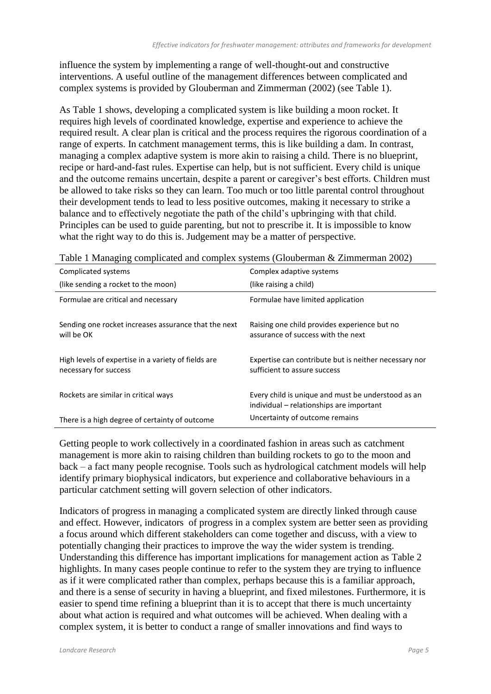influence the system by implementing a range of well-thought-out and constructive interventions. A useful outline of the management differences between complicated and complex systems is provided by Glouberman and Zimmerman (2002) (see Table 1).

As Table 1 shows, developing a complicated system is like building a moon rocket. It requires high levels of coordinated knowledge, expertise and experience to achieve the required result. A clear plan is critical and the process requires the rigorous coordination of a range of experts. In catchment management terms, this is like building a dam. In contrast, managing a complex adaptive system is more akin to raising a child. There is no blueprint, recipe or hard-and-fast rules. Expertise can help, but is not sufficient. Every child is unique and the outcome remains uncertain, despite a parent or caregiver's best efforts. Children must be allowed to take risks so they can learn. Too much or too little parental control throughout their development tends to lead to less positive outcomes, making it necessary to strike a balance and to effectively negotiate the path of the child's upbringing with that child. Principles can be used to guide parenting, but not to prescribe it. It is impossible to know what the right way to do this is. Judgement may be a matter of perspective.

| Complicated systems                                                          | Complex adaptive systems                                                                       |
|------------------------------------------------------------------------------|------------------------------------------------------------------------------------------------|
| (like sending a rocket to the moon)                                          | (like raising a child)                                                                         |
| Formulae are critical and necessary                                          | Formulae have limited application                                                              |
| Sending one rocket increases assurance that the next<br>will be OK           | Raising one child provides experience but no<br>assurance of success with the next             |
| High levels of expertise in a variety of fields are<br>necessary for success | Expertise can contribute but is neither necessary nor<br>sufficient to assure success          |
| Rockets are similar in critical ways                                         | Every child is unique and must be understood as an<br>individual – relationships are important |
| There is a high degree of certainty of outcome                               | Uncertainty of outcome remains                                                                 |

|  |  | Table 1 Managing complicated and complex systems (Glouberman & Zimmerman 2002) |  |
|--|--|--------------------------------------------------------------------------------|--|
|  |  |                                                                                |  |

Getting people to work collectively in a coordinated fashion in areas such as catchment management is more akin to raising children than building rockets to go to the moon and back – a fact many people recognise. Tools such as hydrological catchment models will help identify primary biophysical indicators, but experience and collaborative behaviours in a particular catchment setting will govern selection of other indicators.

Indicators of progress in managing a complicated system are directly linked through cause and effect. However, indicators of progress in a complex system are better seen as providing a focus around which different stakeholders can come together and discuss, with a view to potentially changing their practices to improve the way the wider system is trending. Understanding this difference has important implications for management action as Table 2 highlights. In many cases people continue to refer to the system they are trying to influence as if it were complicated rather than complex, perhaps because this is a familiar approach, and there is a sense of security in having a blueprint, and fixed milestones. Furthermore, it is easier to spend time refining a blueprint than it is to accept that there is much uncertainty about what action is required and what outcomes will be achieved. When dealing with a complex system, it is better to conduct a range of smaller innovations and find ways to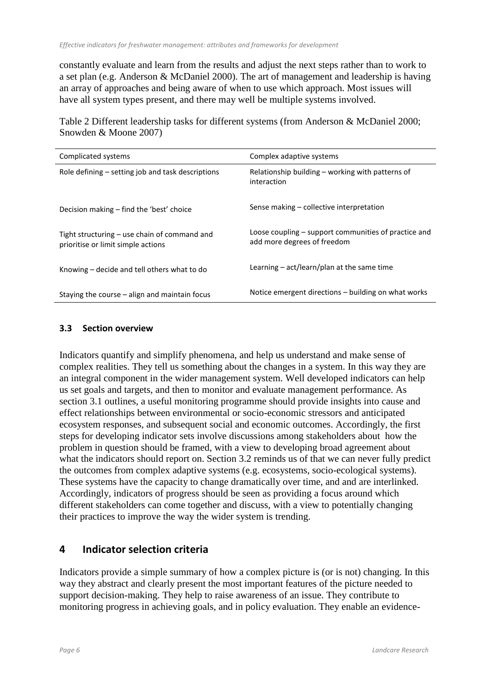constantly evaluate and learn from the results and adjust the next steps rather than to work to a set plan (e.g. Anderson & McDaniel 2000). The art of management and leadership is having an array of approaches and being aware of when to use which approach. Most issues will have all system types present, and there may well be multiple systems involved.

Table 2 Different leadership tasks for different systems (from Anderson & McDaniel 2000; Snowden & Moone 2007)

| Complicated systems                                                                  | Complex adaptive systems                                                            |
|--------------------------------------------------------------------------------------|-------------------------------------------------------------------------------------|
| Role defining – setting job and task descriptions                                    | Relationship building – working with patterns of<br>interaction                     |
| Decision making – find the 'best' choice                                             | Sense making - collective interpretation                                            |
| Tight structuring $-$ use chain of command and<br>prioritise or limit simple actions | Loose coupling – support communities of practice and<br>add more degrees of freedom |
| Knowing - decide and tell others what to do                                          | Learning $-$ act/learn/plan at the same time                                        |
| Staying the course $-$ align and maintain focus                                      | Notice emergent directions – building on what works                                 |

#### **3.3 Section overview**

Indicators quantify and simplify phenomena, and help us understand and make sense of complex realities. They tell us something about the changes in a system. In this way they are an integral component in the wider management system. Well developed indicators can help us set goals and targets, and then to monitor and evaluate management performance. As section 3.1 outlines, a useful monitoring programme should provide insights into cause and effect relationships between environmental or socio-economic stressors and anticipated ecosystem responses, and subsequent social and economic outcomes. Accordingly, the first steps for developing indicator sets involve discussions among stakeholders about how the problem in question should be framed, with a view to developing broad agreement about what the indicators should report on. Section 3.2 reminds us of that we can never fully predict the outcomes from complex adaptive systems (e.g. ecosystems, socio-ecological systems). These systems have the capacity to change dramatically over time, and and are interlinked. Accordingly, indicators of progress should be seen as providing a focus around which different stakeholders can come together and discuss, with a view to potentially changing their practices to improve the way the wider system is trending.

## **4 Indicator selection criteria**

Indicators provide a simple summary of how a complex picture is (or is not) changing. In this way they abstract and clearly present the most important features of the picture needed to support decision-making. They help to raise awareness of an issue. They contribute to monitoring progress in achieving goals, and in policy evaluation. They enable an evidence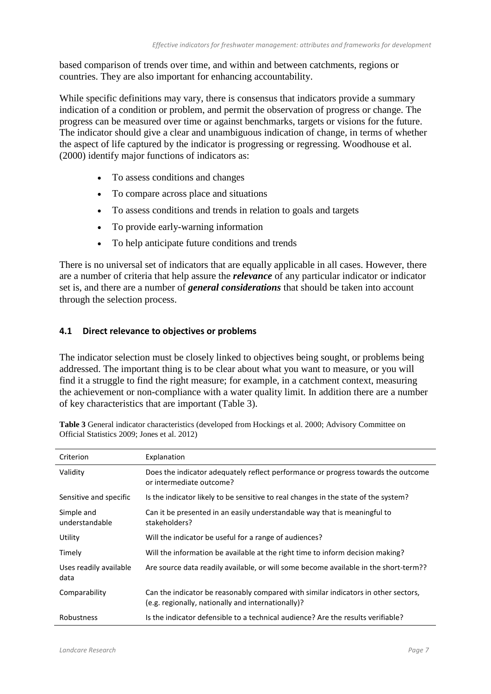based comparison of trends over time, and within and between catchments, regions or countries. They are also important for enhancing accountability.

While specific definitions may vary, there is consensus that indicators provide a summary indication of a condition or problem, and permit the observation of progress or change. The progress can be measured over time or against benchmarks, targets or visions for the future. The indicator should give a clear and unambiguous indication of change, in terms of whether the aspect of life captured by the indicator is progressing or regressing. Woodhouse et al. (2000) identify major functions of indicators as:

- To assess conditions and changes
- To compare across place and situations
- To assess conditions and trends in relation to goals and targets
- To provide early-warning information
- To help anticipate future conditions and trends

There is no universal set of indicators that are equally applicable in all cases. However, there are a number of criteria that help assure the *relevance* of any particular indicator or indicator set is, and there are a number of *general considerations* that should be taken into account through the selection process.

#### **4.1 Direct relevance to objectives or problems**

The indicator selection must be closely linked to objectives being sought, or problems being addressed. The important thing is to be clear about what you want to measure, or you will find it a struggle to find the right measure; for example, in a catchment context, measuring the achievement or non-compliance with a water quality limit. In addition there are a number of key characteristics that are important (Table 3).

| Criterion                      | Explanation                                                                                                                              |
|--------------------------------|------------------------------------------------------------------------------------------------------------------------------------------|
| Validity                       | Does the indicator adequately reflect performance or progress towards the outcome<br>or intermediate outcome?                            |
| Sensitive and specific         | Is the indicator likely to be sensitive to real changes in the state of the system?                                                      |
| Simple and<br>understandable   | Can it be presented in an easily understandable way that is meaningful to<br>stakeholders?                                               |
| Utility                        | Will the indicator be useful for a range of audiences?                                                                                   |
| Timely                         | Will the information be available at the right time to inform decision making?                                                           |
| Uses readily available<br>data | Are source data readily available, or will some become available in the short-term??                                                     |
| Comparability                  | Can the indicator be reasonably compared with similar indicators in other sectors,<br>(e.g. regionally, nationally and internationally)? |
| <b>Robustness</b>              | Is the indicator defensible to a technical audience? Are the results verifiable?                                                         |

**Table 3** General indicator characteristics (developed from Hockings et al. 2000; Advisory Committee on Official Statistics 2009; Jones et al. 2012)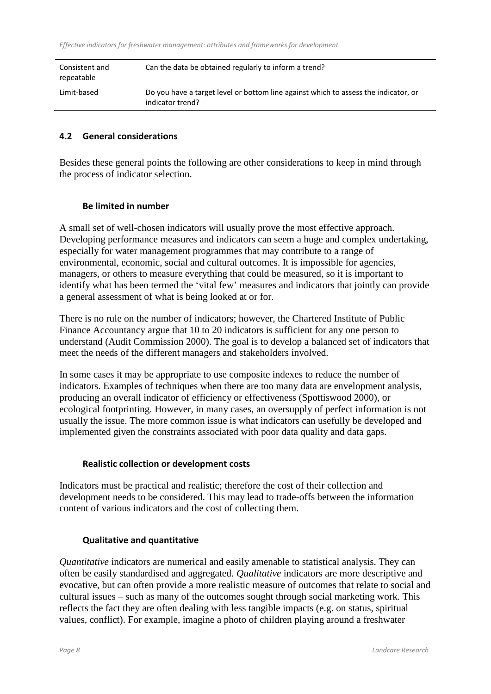| Consistent and<br>repeatable | Can the data be obtained regularly to inform a trend?                                                   |
|------------------------------|---------------------------------------------------------------------------------------------------------|
| Limit-based                  | Do you have a target level or bottom line against which to assess the indicator, or<br>indicator trend? |

#### **4.2 General considerations**

Besides these general points the following are other considerations to keep in mind through the process of indicator selection.

#### **Be limited in number**

A small set of well-chosen indicators will usually prove the most effective approach. Developing performance measures and indicators can seem a huge and complex undertaking, especially for water management programmes that may contribute to a range of environmental, economic, social and cultural outcomes. It is impossible for agencies, managers, or others to measure everything that could be measured, so it is important to identify what has been termed the 'vital few' measures and indicators that jointly can provide a general assessment of what is being looked at or for.

There is no rule on the number of indicators; however, the Chartered Institute of Public Finance Accountancy argue that 10 to 20 indicators is sufficient for any one person to understand (Audit Commission 2000). The goal is to develop a balanced set of indicators that meet the needs of the different managers and stakeholders involved.

In some cases it may be appropriate to use composite indexes to reduce the number of indicators. Examples of techniques when there are too many data are envelopment analysis, producing an overall indicator of efficiency or effectiveness (Spottiswood 2000), or ecological footprinting. However, in many cases, an oversupply of perfect information is not usually the issue. The more common issue is what indicators can usefully be developed and implemented given the constraints associated with poor data quality and data gaps.

#### **Realistic collection or development costs**

Indicators must be practical and realistic; therefore the cost of their collection and development needs to be considered. This may lead to trade-offs between the information content of various indicators and the cost of collecting them.

#### **Qualitative and quantitative**

*Quantitative* indicators are numerical and easily amenable to statistical analysis. They can often be easily standardised and aggregated. *Qualitative* indicators are more descriptive and evocative, but can often provide a more realistic measure of outcomes that relate to social and cultural issues – such as many of the outcomes sought through social marketing work. This reflects the fact they are often dealing with less tangible impacts (e.g. on status, spiritual values, conflict). For example, imagine a photo of children playing around a freshwater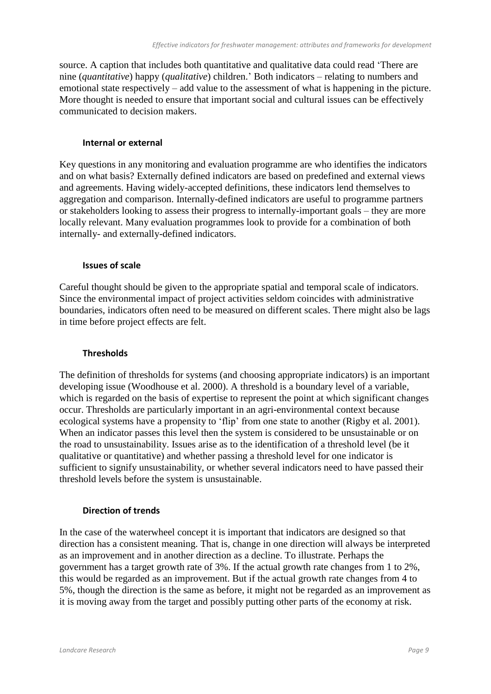source. A caption that includes both quantitative and qualitative data could read 'There are nine (*quantitative*) happy (*qualitative*) children.' Both indicators – relating to numbers and emotional state respectively – add value to the assessment of what is happening in the picture. More thought is needed to ensure that important social and cultural issues can be effectively communicated to decision makers.

#### **Internal or external**

Key questions in any monitoring and evaluation programme are who identifies the indicators and on what basis? Externally defined indicators are based on predefined and external views and agreements. Having widely-accepted definitions, these indicators lend themselves to aggregation and comparison. Internally-defined indicators are useful to programme partners or stakeholders looking to assess their progress to internally-important goals – they are more locally relevant. Many evaluation programmes look to provide for a combination of both internally- and externally-defined indicators.

#### **Issues of scale**

Careful thought should be given to the appropriate spatial and temporal scale of indicators. Since the environmental impact of project activities seldom coincides with administrative boundaries, indicators often need to be measured on different scales. There might also be lags in time before project effects are felt.

#### **Thresholds**

The definition of thresholds for systems (and choosing appropriate indicators) is an important developing issue (Woodhouse et al. 2000). A threshold is a boundary level of a variable, which is regarded on the basis of expertise to represent the point at which significant changes occur. Thresholds are particularly important in an agri-environmental context because ecological systems have a propensity to 'flip' from one state to another (Rigby et al. 2001). When an indicator passes this level then the system is considered to be unsustainable or on the road to unsustainability. Issues arise as to the identification of a threshold level (be it qualitative or quantitative) and whether passing a threshold level for one indicator is sufficient to signify unsustainability, or whether several indicators need to have passed their threshold levels before the system is unsustainable.

#### **Direction of trends**

In the case of the waterwheel concept it is important that indicators are designed so that direction has a consistent meaning. That is, change in one direction will always be interpreted as an improvement and in another direction as a decline. To illustrate. Perhaps the government has a target growth rate of 3%. If the actual growth rate changes from 1 to 2%, this would be regarded as an improvement. But if the actual growth rate changes from 4 to 5%, though the direction is the same as before, it might not be regarded as an improvement as it is moving away from the target and possibly putting other parts of the economy at risk.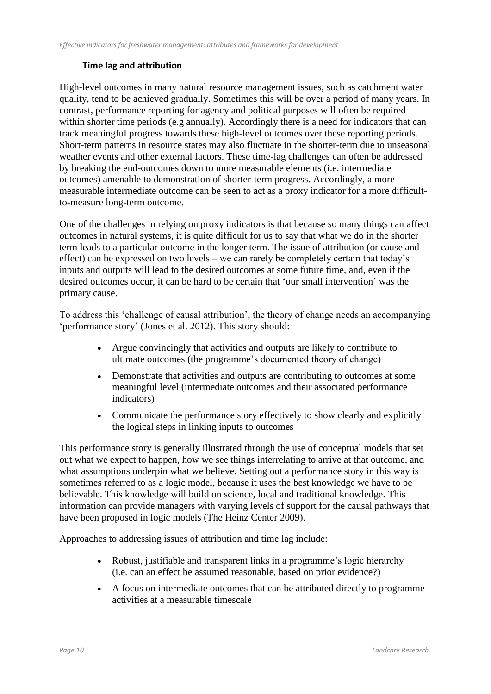#### **Time lag and attribution**

High-level outcomes in many natural resource management issues, such as catchment water quality, tend to be achieved gradually. Sometimes this will be over a period of many years. In contrast, performance reporting for agency and political purposes will often be required within shorter time periods (e.g annually). Accordingly there is a need for indicators that can track meaningful progress towards these high-level outcomes over these reporting periods. Short-term patterns in resource states may also fluctuate in the shorter-term due to unseasonal weather events and other external factors. These time-lag challenges can often be addressed by breaking the end-outcomes down to more measurable elements (i.e. intermediate outcomes) amenable to demonstration of shorter-term progress. Accordingly, a more measurable intermediate outcome can be seen to act as a proxy indicator for a more difficultto-measure long-term outcome.

One of the challenges in relying on proxy indicators is that because so many things can affect outcomes in natural systems, it is quite difficult for us to say that what we do in the shorter term leads to a particular outcome in the longer term. The issue of attribution (or cause and effect) can be expressed on two levels – we can rarely be completely certain that today's inputs and outputs will lead to the desired outcomes at some future time, and, even if the desired outcomes occur, it can be hard to be certain that 'our small intervention' was the primary cause.

To address this 'challenge of causal attribution', the theory of change needs an accompanying 'performance story' (Jones et al. 2012). This story should:

- Argue convincingly that activities and outputs are likely to contribute to ultimate outcomes (the programme's documented theory of change)
- Demonstrate that activities and outputs are contributing to outcomes at some meaningful level (intermediate outcomes and their associated performance indicators)
- Communicate the performance story effectively to show clearly and explicitly the logical steps in linking inputs to outcomes

This performance story is generally illustrated through the use of conceptual models that set out what we expect to happen, how we see things interrelating to arrive at that outcome, and what assumptions underpin what we believe. Setting out a performance story in this way is sometimes referred to as a logic model, because it uses the best knowledge we have to be believable. This knowledge will build on science, local and traditional knowledge. This information can provide managers with varying levels of support for the causal pathways that have been proposed in logic models (The Heinz Center 2009).

Approaches to addressing issues of attribution and time lag include:

- Robust, justifiable and transparent links in a programme's logic hierarchy (i.e. can an effect be assumed reasonable, based on prior evidence?)
- A focus on intermediate outcomes that can be attributed directly to programme activities at a measurable timescale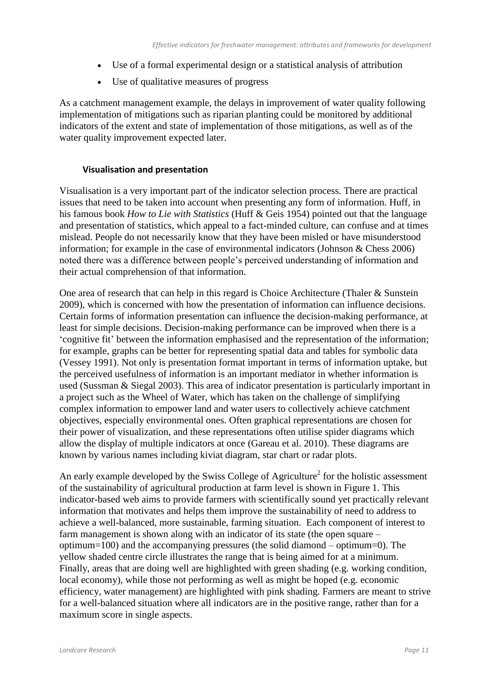- Use of a formal experimental design or a statistical analysis of attribution
- Use of qualitative measures of progress

As a catchment management example, the delays in improvement of water quality following implementation of mitigations such as riparian planting could be monitored by additional indicators of the extent and state of implementation of those mitigations, as well as of the water quality improvement expected later.

#### **Visualisation and presentation**

Visualisation is a very important part of the indicator selection process. There are practical issues that need to be taken into account when presenting any form of information. Huff, in his famous book *How to Lie with Statistics* (Huff & Geis 1954) pointed out that the language and presentation of statistics, which appeal to a fact-minded culture, can confuse and at times mislead. People do not necessarily know that they have been misled or have misunderstood information; for example in the case of environmental indicators (Johnson & Chess 2006) noted there was a difference between people's perceived understanding of information and their actual comprehension of that information.

One area of research that can help in this regard is Choice Architecture (Thaler & Sunstein 2009), which is concerned with how the presentation of information can influence decisions. Certain forms of information presentation can influence the decision-making performance, at least for simple decisions. Decision-making performance can be improved when there is a 'cognitive fit' between the information emphasised and the representation of the information; for example, graphs can be better for representing spatial data and tables for symbolic data (Vessey 1991). Not only is presentation format important in terms of information uptake, but the perceived usefulness of information is an important mediator in whether information is used (Sussman & Siegal 2003). This area of indicator presentation is particularly important in a project such as the Wheel of Water, which has taken on the challenge of simplifying complex information to empower land and water users to collectively achieve catchment objectives, especially environmental ones. Often graphical representations are chosen for their power of visualization, and these representations often utilise spider diagrams which allow the display of multiple indicators at once (Gareau et al. 2010). These diagrams are known by various names including kiviat diagram, star chart or radar plots.

An early example developed by the Swiss College of Agriculture<sup>2</sup> for the holistic assessment of the sustainability of agricultural production at farm level is shown in Figure 1. This indicator-based web aims to provide farmers with scientifically sound yet practically relevant information that motivates and helps them improve the sustainability of need to address to achieve a well-balanced, more sustainable, farming situation. Each component of interest to farm management is shown along with an indicator of its state (the open square – optimum=100) and the accompanying pressures (the solid diamond – optimum=0). The yellow shaded centre circle illustrates the range that is being aimed for at a minimum. Finally, areas that are doing well are highlighted with green shading (e.g. working condition, local economy), while those not performing as well as might be hoped (e.g. economic efficiency, water management) are highlighted with pink shading. Farmers are meant to strive for a well-balanced situation where all indicators are in the positive range, rather than for a maximum score in single aspects.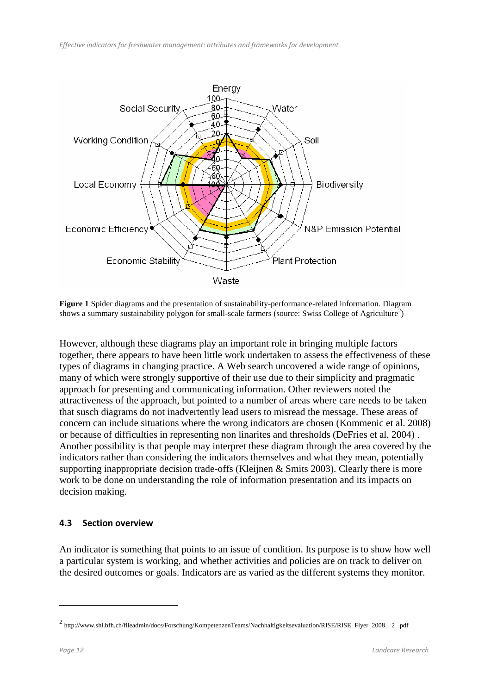

**Figure 1** Spider diagrams and the presentation of sustainability-performance-related information. Diagram shows a summary sustainability polygon for small-scale farmers (source: Swiss College of Agriculture<sup>2</sup>)

However, although these diagrams play an important role in bringing multiple factors together, there appears to have been little work undertaken to assess the effectiveness of these types of diagrams in changing practice. A Web search uncovered a wide range of opinions, many of which were strongly supportive of their use due to their simplicity and pragmatic approach for presenting and communicating information. Other reviewers noted the attractiveness of the approach, but pointed to a number of areas where care needs to be taken that susch diagrams do not inadvertently lead users to misread the message. These areas of concern can include situations where the wrong indicators are chosen (Kommenic et al. 2008) or because of difficulties in representing non linarites and thresholds (DeFries et al. 2004) . Another possibility is that people may interpret these diagram through the area covered by the indicators rather than considering the indicators themselves and what they mean, potentially supporting inappropriate decision trade-offs (Kleijnen & Smits 2003). Clearly there is more work to be done on understanding the role of information presentation and its impacts on decision making.

#### **4.3 Section overview**

An indicator is something that points to an issue of condition. Its purpose is to show how well a particular system is working, and whether activities and policies are on track to deliver on the desired outcomes or goals. Indicators are as varied as the different systems they monitor.

1

<sup>&</sup>lt;sup>2</sup> http://www.shl.bfh.ch/fileadmin/docs/Forschung/KompetenzenTeams/Nachhaltigkeitsevaluation/RISE/RISE\_Flyer\_2008\_\_2\_.pdf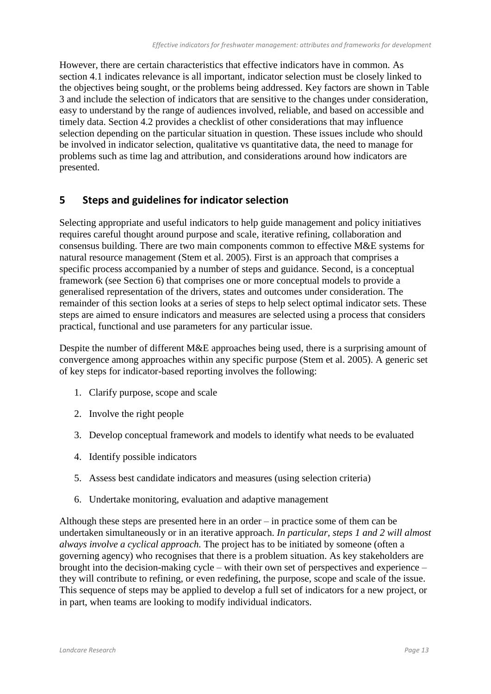However, there are certain characteristics that effective indicators have in common. As section 4.1 indicates relevance is all important, indicator selection must be closely linked to the objectives being sought, or the problems being addressed. Key factors are shown in Table 3 and include the selection of indicators that are sensitive to the changes under consideration, easy to understand by the range of audiences involved, reliable, and based on accessible and timely data. Section 4.2 provides a checklist of other considerations that may influence selection depending on the particular situation in question. These issues include who should be involved in indicator selection, qualitative vs quantitative data, the need to manage for problems such as time lag and attribution, and considerations around how indicators are presented.

## **5 Steps and guidelines for indicator selection**

Selecting appropriate and useful indicators to help guide management and policy initiatives requires careful thought around purpose and scale, iterative refining, collaboration and consensus building. There are two main components common to effective M&E systems for natural resource management (Stem et al. 2005). First is an approach that comprises a specific process accompanied by a number of steps and guidance. Second, is a conceptual framework (see Section 6) that comprises one or more conceptual models to provide a generalised representation of the drivers, states and outcomes under consideration. The remainder of this section looks at a series of steps to help select optimal indicator sets. These steps are aimed to ensure indicators and measures are selected using a process that considers practical, functional and use parameters for any particular issue.

Despite the number of different M&E approaches being used, there is a surprising amount of convergence among approaches within any specific purpose (Stem et al. 2005). A generic set of key steps for indicator-based reporting involves the following:

- 1. Clarify purpose, scope and scale
- 2. Involve the right people
- 3. Develop conceptual framework and models to identify what needs to be evaluated
- 4. Identify possible indicators
- 5. Assess best candidate indicators and measures (using selection criteria)
- 6. Undertake monitoring, evaluation and adaptive management

Although these steps are presented here in an order – in practice some of them can be undertaken simultaneously or in an iterative approach. *In particular, steps 1 and 2 will almost always involve a cyclical approach.* The project has to be initiated by someone (often a governing agency) who recognises that there is a problem situation. As key stakeholders are brought into the decision-making cycle – with their own set of perspectives and experience – they will contribute to refining, or even redefining, the purpose, scope and scale of the issue. This sequence of steps may be applied to develop a full set of indicators for a new project, or in part, when teams are looking to modify individual indicators.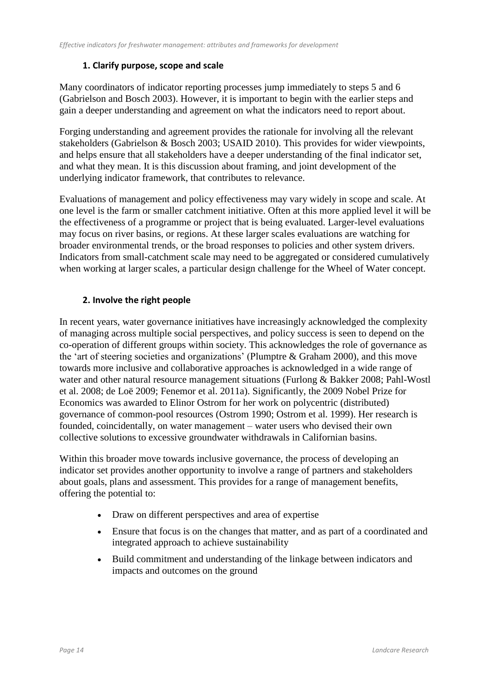## **1. Clarify purpose, scope and scale**

Many coordinators of indicator reporting processes jump immediately to steps 5 and 6 (Gabrielson and Bosch 2003). However, it is important to begin with the earlier steps and gain a deeper understanding and agreement on what the indicators need to report about.

Forging understanding and agreement provides the rationale for involving all the relevant stakeholders (Gabrielson & Bosch 2003; USAID 2010). This provides for wider viewpoints, and helps ensure that all stakeholders have a deeper understanding of the final indicator set, and what they mean. It is this discussion about framing, and joint development of the underlying indicator framework, that contributes to relevance.

Evaluations of management and policy effectiveness may vary widely in scope and scale. At one level is the farm or smaller catchment initiative. Often at this more applied level it will be the effectiveness of a programme or project that is being evaluated. Larger-level evaluations may focus on river basins, or regions. At these larger scales evaluations are watching for broader environmental trends, or the broad responses to policies and other system drivers. Indicators from small-catchment scale may need to be aggregated or considered cumulatively when working at larger scales, a particular design challenge for the Wheel of Water concept.

## **2. Involve the right people**

In recent years, water governance initiatives have increasingly acknowledged the complexity of managing across multiple social perspectives, and policy success is seen to depend on the co-operation of different groups within society. This acknowledges the role of governance as the 'art of steering societies and organizations' (Plumptre & Graham 2000), and this move towards more inclusive and collaborative approaches is acknowledged in a wide range of water and other natural resource management situations (Furlong & Bakker 2008; Pahl-Wostl et al. 2008; de Loë 2009; Fenemor et al. 2011a). Significantly, the 2009 Nobel Prize for Economics was awarded to Elinor Ostrom for her work on polycentric (distributed) governance of common-pool resources (Ostrom 1990; Ostrom et al. 1999). Her research is founded, coincidentally, on water management – water users who devised their own collective solutions to excessive groundwater withdrawals in Californian basins.

Within this broader move towards inclusive governance, the process of developing an indicator set provides another opportunity to involve a range of partners and stakeholders about goals, plans and assessment. This provides for a range of management benefits, offering the potential to:

- Draw on different perspectives and area of expertise
- Ensure that focus is on the changes that matter, and as part of a coordinated and integrated approach to achieve sustainability
- Build commitment and understanding of the linkage between indicators and impacts and outcomes on the ground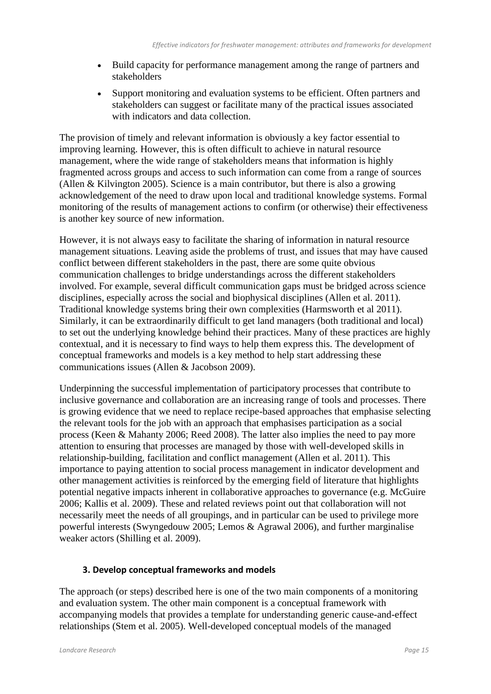- Build capacity for performance management among the range of partners and stakeholders
- Support monitoring and evaluation systems to be efficient. Often partners and stakeholders can suggest or facilitate many of the practical issues associated with indicators and data collection.

The provision of timely and relevant information is obviously a key factor essential to improving learning. However, this is often difficult to achieve in natural resource management, where the wide range of stakeholders means that information is highly fragmented across groups and access to such information can come from a range of sources (Allen & Kilvington 2005). Science is a main contributor, but there is also a growing acknowledgement of the need to draw upon local and traditional knowledge systems. Formal monitoring of the results of management actions to confirm (or otherwise) their effectiveness is another key source of new information.

However, it is not always easy to facilitate the sharing of information in natural resource management situations. Leaving aside the problems of trust, and issues that may have caused conflict between different stakeholders in the past, there are some quite obvious communication challenges to bridge understandings across the different stakeholders involved. For example, several difficult communication gaps must be bridged across science disciplines, especially across the social and biophysical disciplines (Allen et al. 2011). Traditional knowledge systems bring their own complexities (Harmsworth et al 2011). Similarly, it can be extraordinarily difficult to get land managers (both traditional and local) to set out the underlying knowledge behind their practices. Many of these practices are highly contextual, and it is necessary to find ways to help them express this. The development of conceptual frameworks and models is a key method to help start addressing these communications issues (Allen & Jacobson 2009).

Underpinning the successful implementation of participatory processes that contribute to inclusive governance and collaboration are an increasing range of tools and processes. There is growing evidence that we need to replace recipe-based approaches that emphasise selecting the relevant tools for the job with an approach that emphasises participation as a social process (Keen & Mahanty 2006; Reed 2008). The latter also implies the need to pay more attention to ensuring that processes are managed by those with well-developed skills in relationship-building, facilitation and conflict management (Allen et al. 2011). This importance to paying attention to social process management in indicator development and other management activities is reinforced by the emerging field of literature that highlights potential negative impacts inherent in collaborative approaches to governance (e.g. McGuire 2006; Kallis et al. 2009). These and related reviews point out that collaboration will not necessarily meet the needs of all groupings, and in particular can be used to privilege more powerful interests (Swyngedouw 2005; Lemos & Agrawal 2006), and further marginalise weaker actors (Shilling et al. 2009).

#### **3. Develop conceptual frameworks and models**

The approach (or steps) described here is one of the two main components of a monitoring and evaluation system. The other main component is a conceptual framework with accompanying models that provides a template for understanding generic cause-and-effect relationships (Stem et al. 2005). Well-developed conceptual models of the managed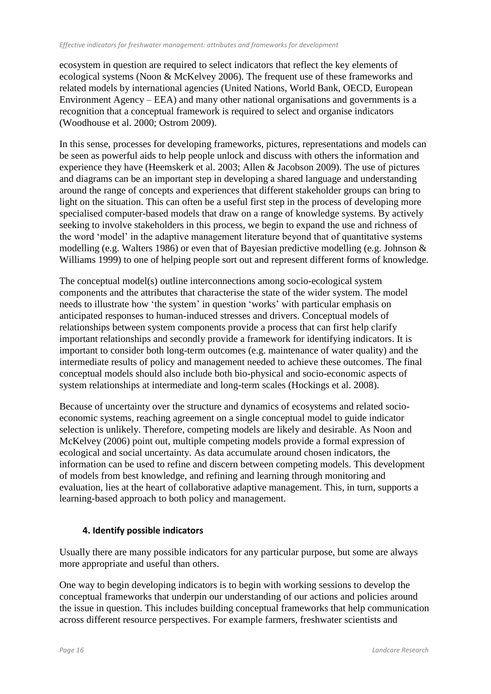ecosystem in question are required to select indicators that reflect the key elements of ecological systems (Noon & McKelvey 2006). The frequent use of these frameworks and related models by international agencies (United Nations, World Bank, OECD, European Environment Agency – EEA) and many other national organisations and governments is a recognition that a conceptual framework is required to select and organise indicators (Woodhouse et al. 2000; Ostrom 2009).

In this sense, processes for developing frameworks, pictures, representations and models can be seen as powerful aids to help people unlock and discuss with others the information and experience they have (Heemskerk et al. 2003; Allen & Jacobson 2009). The use of pictures and diagrams can be an important step in developing a shared language and understanding around the range of concepts and experiences that different stakeholder groups can bring to light on the situation. This can often be a useful first step in the process of developing more specialised computer-based models that draw on a range of knowledge systems. By actively seeking to involve stakeholders in this process, we begin to expand the use and richness of the word 'model' in the adaptive management literature beyond that of quantitative systems modelling (e.g. Walters 1986) or even that of Bayesian predictive modelling (e.g. Johnson & Williams 1999) to one of helping people sort out and represent different forms of knowledge.

The conceptual model(s) outline interconnections among socio-ecological system components and the attributes that characterise the state of the wider system. The model needs to illustrate how 'the system' in question 'works' with particular emphasis on anticipated responses to human-induced stresses and drivers. Conceptual models of relationships between system components provide a process that can first help clarify important relationships and secondly provide a framework for identifying indicators. It is important to consider both long-term outcomes (e.g. maintenance of water quality) and the intermediate results of policy and management needed to achieve these outcomes. The final conceptual models should also include both bio-physical and socio-economic aspects of system relationships at intermediate and long-term scales (Hockings et al. 2008).

Because of uncertainty over the structure and dynamics of ecosystems and related socioeconomic systems, reaching agreement on a single conceptual model to guide indicator selection is unlikely. Therefore, competing models are likely and desirable. As Noon and McKelvey (2006) point out, multiple competing models provide a formal expression of ecological and social uncertainty. As data accumulate around chosen indicators, the information can be used to refine and discern between competing models. This development of models from best knowledge, and refining and learning through monitoring and evaluation, lies at the heart of collaborative adaptive management. This, in turn, supports a learning-based approach to both policy and management.

## **4. Identify possible indicators**

Usually there are many possible indicators for any particular purpose, but some are always more appropriate and useful than others.

One way to begin developing indicators is to begin with working sessions to develop the conceptual frameworks that underpin our understanding of our actions and policies around the issue in question. This includes building conceptual frameworks that help communication across different resource perspectives. For example farmers, freshwater scientists and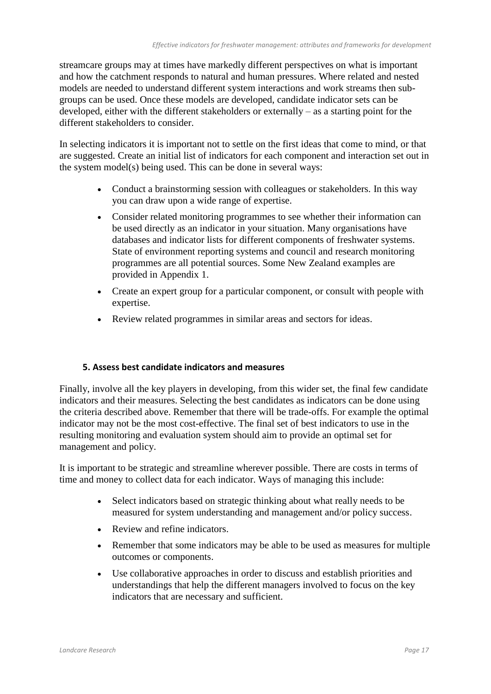streamcare groups may at times have markedly different perspectives on what is important and how the catchment responds to natural and human pressures. Where related and nested models are needed to understand different system interactions and work streams then subgroups can be used. Once these models are developed, candidate indicator sets can be developed, either with the different stakeholders or externally – as a starting point for the different stakeholders to consider.

In selecting indicators it is important not to settle on the first ideas that come to mind, or that are suggested. Create an initial list of indicators for each component and interaction set out in the system model(s) being used. This can be done in several ways:

- Conduct a brainstorming session with colleagues or stakeholders. In this way you can draw upon a wide range of expertise.
- Consider related monitoring programmes to see whether their information can be used directly as an indicator in your situation. Many organisations have databases and indicator lists for different components of freshwater systems. State of environment reporting systems and council and research monitoring programmes are all potential sources. Some New Zealand examples are provided in Appendix 1.
- Create an expert group for a particular component, or consult with people with expertise.
- Review related programmes in similar areas and sectors for ideas.

#### **5. Assess best candidate indicators and measures**

Finally, involve all the key players in developing, from this wider set, the final few candidate indicators and their measures. Selecting the best candidates as indicators can be done using the criteria described above. Remember that there will be trade-offs. For example the optimal indicator may not be the most cost-effective. The final set of best indicators to use in the resulting monitoring and evaluation system should aim to provide an optimal set for management and policy.

It is important to be strategic and streamline wherever possible. There are costs in terms of time and money to collect data for each indicator. Ways of managing this include:

- Select indicators based on strategic thinking about what really needs to be measured for system understanding and management and/or policy success.
- Review and refine indicators.
- Remember that some indicators may be able to be used as measures for multiple outcomes or components.
- Use collaborative approaches in order to discuss and establish priorities and understandings that help the different managers involved to focus on the key indicators that are necessary and sufficient.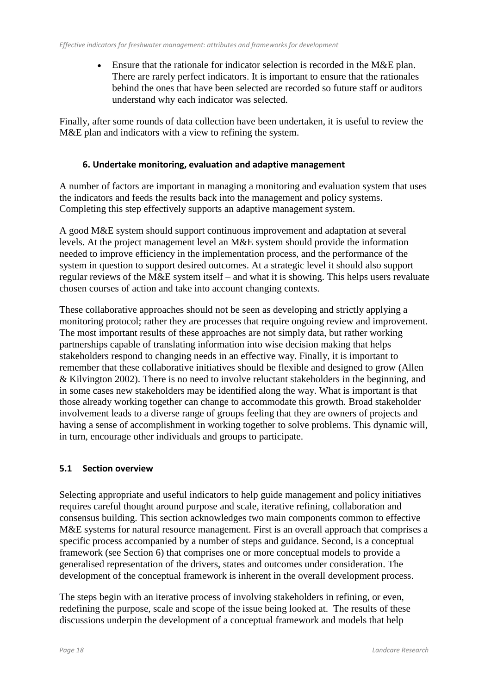Ensure that the rationale for indicator selection is recorded in the M&E plan. There are rarely perfect indicators. It is important to ensure that the rationales behind the ones that have been selected are recorded so future staff or auditors understand why each indicator was selected.

Finally, after some rounds of data collection have been undertaken, it is useful to review the M&E plan and indicators with a view to refining the system.

### **6. Undertake monitoring, evaluation and adaptive management**

A number of factors are important in managing a monitoring and evaluation system that uses the indicators and feeds the results back into the management and policy systems. Completing this step effectively supports an adaptive management system.

A good M&E system should support continuous improvement and adaptation at several levels. At the project management level an M&E system should provide the information needed to improve efficiency in the implementation process, and the performance of the system in question to support desired outcomes. At a strategic level it should also support regular reviews of the M&E system itself – and what it is showing. This helps users revaluate chosen courses of action and take into account changing contexts.

These collaborative approaches should not be seen as developing and strictly applying a monitoring protocol; rather they are processes that require ongoing review and improvement. The most important results of these approaches are not simply data, but rather working partnerships capable of translating information into wise decision making that helps stakeholders respond to changing needs in an effective way. Finally, it is important to remember that these collaborative initiatives should be flexible and designed to grow (Allen & Kilvington 2002). There is no need to involve reluctant stakeholders in the beginning, and in some cases new stakeholders may be identified along the way. What is important is that those already working together can change to accommodate this growth. Broad stakeholder involvement leads to a diverse range of groups feeling that they are owners of projects and having a sense of accomplishment in working together to solve problems. This dynamic will, in turn, encourage other individuals and groups to participate.

## **5.1 Section overview**

Selecting appropriate and useful indicators to help guide management and policy initiatives requires careful thought around purpose and scale, iterative refining, collaboration and consensus building. This section acknowledges two main components common to effective M&E systems for natural resource management. First is an overall approach that comprises a specific process accompanied by a number of steps and guidance. Second, is a conceptual framework (see Section 6) that comprises one or more conceptual models to provide a generalised representation of the drivers, states and outcomes under consideration. The development of the conceptual framework is inherent in the overall development process.

The steps begin with an iterative process of involving stakeholders in refining, or even, redefining the purpose, scale and scope of the issue being looked at. The results of these discussions underpin the development of a conceptual framework and models that help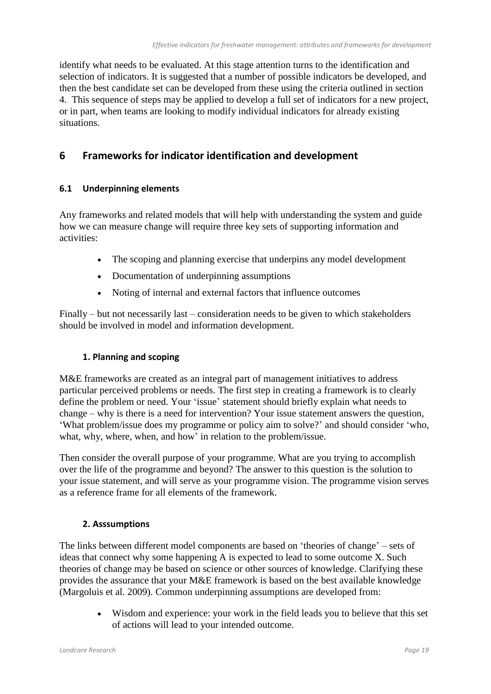identify what needs to be evaluated. At this stage attention turns to the identification and selection of indicators. It is suggested that a number of possible indicators be developed, and then the best candidate set can be developed from these using the criteria outlined in section 4. This sequence of steps may be applied to develop a full set of indicators for a new project, or in part, when teams are looking to modify individual indicators for already existing situations.

# **6 Frameworks for indicator identification and development**

## **6.1 Underpinning elements**

Any frameworks and related models that will help with understanding the system and guide how we can measure change will require three key sets of supporting information and activities:

- The scoping and planning exercise that underpins any model development
- Documentation of underpinning assumptions
- Noting of internal and external factors that influence outcomes

Finally – but not necessarily last – consideration needs to be given to which stakeholders should be involved in model and information development.

## **1. Planning and scoping**

M&E frameworks are created as an integral part of management initiatives to address particular perceived problems or needs. The first step in creating a framework is to clearly define the problem or need. Your 'issue' statement should briefly explain what needs to change – why is there is a need for intervention? Your issue statement answers the question, 'What problem/issue does my programme or policy aim to solve?' and should consider 'who, what, why, where, when, and how' in relation to the problem/issue.

Then consider the overall purpose of your programme. What are you trying to accomplish over the life of the programme and beyond? The answer to this question is the solution to your issue statement, and will serve as your programme vision. The programme vision serves as a reference frame for all elements of the framework.

## **2. Asssumptions**

The links between different model components are based on 'theories of change' – sets of ideas that connect why some happening A is expected to lead to some outcome X. Such theories of change may be based on science or other sources of knowledge. Clarifying these provides the assurance that your M&E framework is based on the best available knowledge (Margoluis et al. 2009). Common underpinning assumptions are developed from:

> Wisdom and experience: your work in the field leads you to believe that this set of actions will lead to your intended outcome.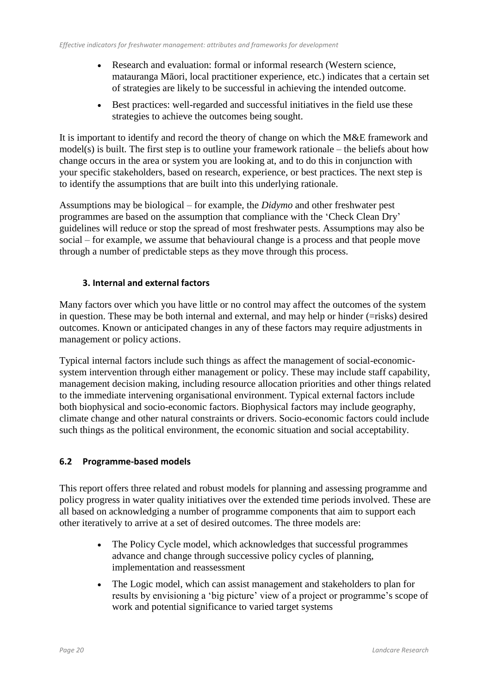- Research and evaluation: formal or informal research (Western science, matauranga Māori, local practitioner experience, etc.) indicates that a certain set of strategies are likely to be successful in achieving the intended outcome.
- Best practices: well-regarded and successful initiatives in the field use these strategies to achieve the outcomes being sought.

It is important to identify and record the theory of change on which the M&E framework and model(s) is built. The first step is to outline your framework rationale – the beliefs about how change occurs in the area or system you are looking at, and to do this in conjunction with your specific stakeholders, based on research, experience, or best practices. The next step is to identify the assumptions that are built into this underlying rationale.

Assumptions may be biological – for example, the *Didymo* and other freshwater pest programmes are based on the assumption that compliance with the 'Check Clean Dry' guidelines will reduce or stop the spread of most freshwater pests. Assumptions may also be social – for example, we assume that behavioural change is a process and that people move through a number of predictable steps as they move through this process.

## **3. Internal and external factors**

Many factors over which you have little or no control may affect the outcomes of the system in question. These may be both internal and external, and may help or hinder (=risks) desired outcomes. Known or anticipated changes in any of these factors may require adjustments in management or policy actions.

Typical internal factors include such things as affect the management of social-economicsystem intervention through either management or policy. These may include staff capability, management decision making, including resource allocation priorities and other things related to the immediate intervening organisational environment. Typical external factors include both biophysical and socio-economic factors. Biophysical factors may include geography, climate change and other natural constraints or drivers. Socio-economic factors could include such things as the political environment, the economic situation and social acceptability.

## **6.2 Programme-based models**

This report offers three related and robust models for planning and assessing programme and policy progress in water quality initiatives over the extended time periods involved. These are all based on acknowledging a number of programme components that aim to support each other iteratively to arrive at a set of desired outcomes. The three models are:

- The Policy Cycle model, which acknowledges that successful programmes advance and change through successive policy cycles of planning, implementation and reassessment
- The Logic model, which can assist management and stakeholders to plan for results by envisioning a 'big picture' view of a project or programme's scope of work and potential significance to varied target systems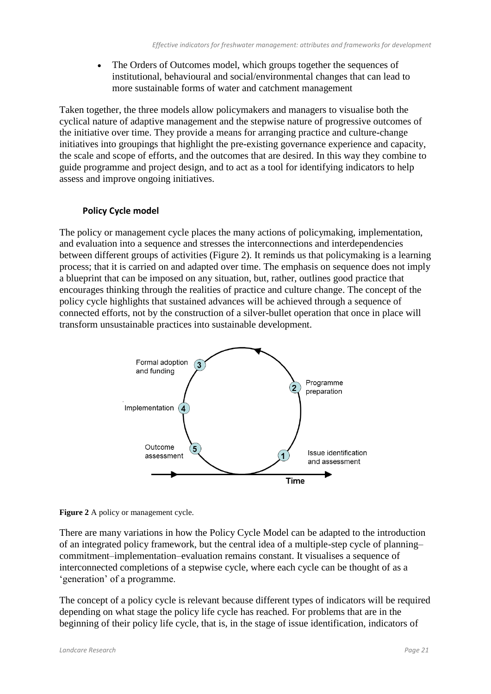The Orders of Outcomes model, which groups together the sequences of institutional, behavioural and social/environmental changes that can lead to more sustainable forms of water and catchment management

Taken together, the three models allow policymakers and managers to visualise both the cyclical nature of adaptive management and the stepwise nature of progressive outcomes of the initiative over time. They provide a means for arranging practice and culture-change initiatives into groupings that highlight the pre-existing governance experience and capacity, the scale and scope of efforts, and the outcomes that are desired. In this way they combine to guide programme and project design, and to act as a tool for identifying indicators to help assess and improve ongoing initiatives.

#### **Policy Cycle model**

The policy or management cycle places the many actions of policymaking, implementation, and evaluation into a sequence and stresses the interconnections and interdependencies between different groups of activities (Figure 2). It reminds us that policymaking is a learning process; that it is carried on and adapted over time. The emphasis on sequence does not imply a blueprint that can be imposed on any situation, but, rather, outlines good practice that encourages thinking through the realities of practice and culture change. The concept of the policy cycle highlights that sustained advances will be achieved through a sequence of connected efforts, not by the construction of a silver-bullet operation that once in place will transform unsustainable practices into sustainable development.



**Figure 2** A policy or management cycle.

There are many variations in how the Policy Cycle Model can be adapted to the introduction of an integrated policy framework, but the central idea of a multiple-step cycle of planning– commitment–implementation–evaluation remains constant. It visualises a sequence of interconnected completions of a stepwise cycle, where each cycle can be thought of as a 'generation' of a programme.

The concept of a policy cycle is relevant because different types of indicators will be required depending on what stage the policy life cycle has reached. For problems that are in the beginning of their policy life cycle, that is, in the stage of issue identification, indicators of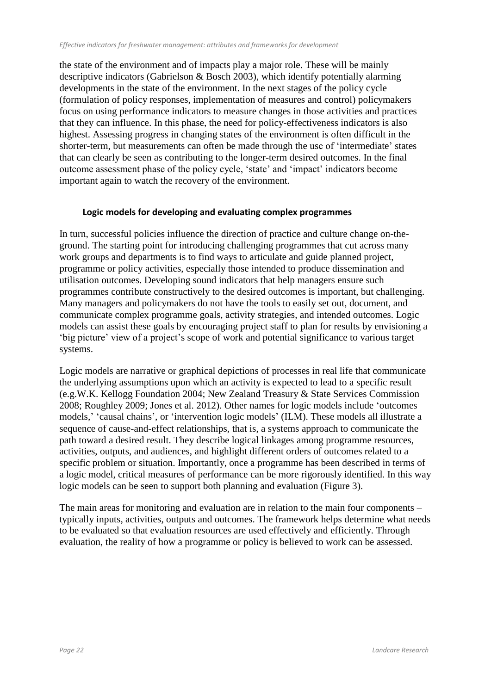the state of the environment and of impacts play a major role. These will be mainly descriptive indicators (Gabrielson & Bosch 2003), which identify potentially alarming developments in the state of the environment. In the next stages of the policy cycle (formulation of policy responses, implementation of measures and control) policymakers focus on using performance indicators to measure changes in those activities and practices that they can influence. In this phase, the need for policy-effectiveness indicators is also highest. Assessing progress in changing states of the environment is often difficult in the shorter-term, but measurements can often be made through the use of 'intermediate' states that can clearly be seen as contributing to the longer-term desired outcomes. In the final outcome assessment phase of the policy cycle, 'state' and 'impact' indicators become important again to watch the recovery of the environment.

#### **Logic models for developing and evaluating complex programmes**

In turn, successful policies influence the direction of practice and culture change on-theground. The starting point for introducing challenging programmes that cut across many work groups and departments is to find ways to articulate and guide planned project, programme or policy activities, especially those intended to produce dissemination and utilisation outcomes. Developing sound indicators that help managers ensure such programmes contribute constructively to the desired outcomes is important, but challenging. Many managers and policymakers do not have the tools to easily set out, document, and communicate complex programme goals, activity strategies, and intended outcomes. Logic models can assist these goals by encouraging project staff to plan for results by envisioning a 'big picture' view of a project's scope of work and potential significance to various target systems.

Logic models are narrative or graphical depictions of processes in real life that communicate the underlying assumptions upon which an activity is expected to lead to a specific result (e.g.W.K. Kellogg Foundation 2004; New Zealand Treasury & State Services Commission 2008; Roughley 2009; Jones et al. 2012). Other names for logic models include 'outcomes models,' 'causal chains', or 'intervention logic models' (ILM). These models all illustrate a sequence of cause-and-effect relationships, that is, a systems approach to communicate the path toward a desired result. They describe logical linkages among programme resources, activities, outputs, and audiences, and highlight different orders of outcomes related to a specific problem or situation. Importantly, once a programme has been described in terms of a logic model, critical measures of performance can be more rigorously identified. In this way logic models can be seen to support both planning and evaluation (Figure 3).

The main areas for monitoring and evaluation are in relation to the main four components – typically inputs, activities, outputs and outcomes. The framework helps determine what needs to be evaluated so that evaluation resources are used effectively and efficiently. Through evaluation, the reality of how a programme or policy is believed to work can be assessed.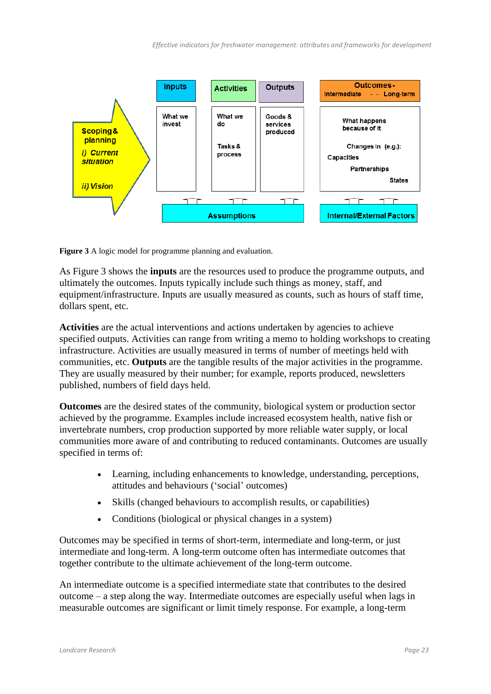

**Figure 3** A logic model for programme planning and evaluation.

As Figure 3 shows the **inputs** are the resources used to produce the programme outputs, and ultimately the outcomes. Inputs typically include such things as money, staff, and equipment/infrastructure. Inputs are usually measured as counts, such as hours of staff time, dollars spent, etc.

**Activities** are the actual interventions and actions undertaken by agencies to achieve specified outputs. Activities can range from writing a memo to holding workshops to creating infrastructure. Activities are usually measured in terms of number of meetings held with communities, etc. **Outputs** are the tangible results of the major activities in the programme. They are usually measured by their number; for example, reports produced, newsletters published, numbers of field days held.

**Outcomes** are the desired states of the community, biological system or production sector achieved by the programme. Examples include increased ecosystem health, native fish or invertebrate numbers, crop production supported by more reliable water supply, or local communities more aware of and contributing to reduced contaminants. Outcomes are usually specified in terms of:

- Learning, including enhancements to knowledge, understanding, perceptions, attitudes and behaviours ('social' outcomes)
- Skills (changed behaviours to accomplish results, or capabilities)
- Conditions (biological or physical changes in a system)

Outcomes may be specified in terms of short-term, intermediate and long-term, or just intermediate and long-term. A long-term outcome often has intermediate outcomes that together contribute to the ultimate achievement of the long-term outcome.

An intermediate outcome is a specified intermediate state that contributes to the desired outcome – a step along the way. Intermediate outcomes are especially useful when lags in measurable outcomes are significant or limit timely response. For example, a long-term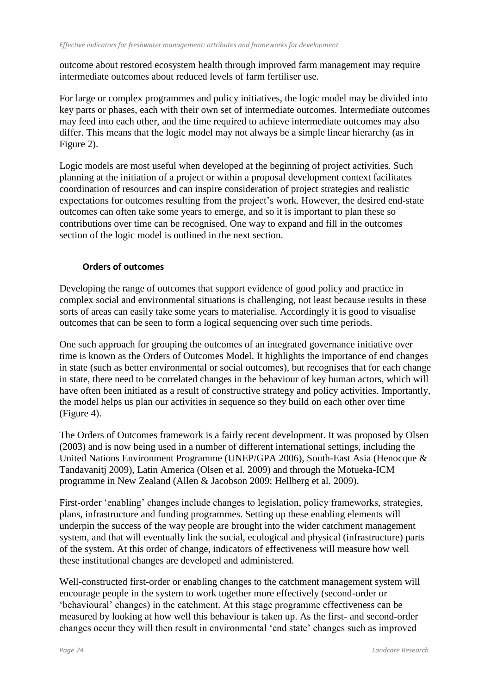outcome about restored ecosystem health through improved farm management may require intermediate outcomes about reduced levels of farm fertiliser use.

For large or complex programmes and policy initiatives, the logic model may be divided into key parts or phases, each with their own set of intermediate outcomes. Intermediate outcomes may feed into each other, and the time required to achieve intermediate outcomes may also differ. This means that the logic model may not always be a simple linear hierarchy (as in Figure 2).

Logic models are most useful when developed at the beginning of project activities. Such planning at the initiation of a project or within a proposal development context facilitates coordination of resources and can inspire consideration of project strategies and realistic expectations for outcomes resulting from the project's work. However, the desired end-state outcomes can often take some years to emerge, and so it is important to plan these so contributions over time can be recognised. One way to expand and fill in the outcomes section of the logic model is outlined in the next section.

### **Orders of outcomes**

Developing the range of outcomes that support evidence of good policy and practice in complex social and environmental situations is challenging, not least because results in these sorts of areas can easily take some years to materialise. Accordingly it is good to visualise outcomes that can be seen to form a logical sequencing over such time periods.

One such approach for grouping the outcomes of an integrated governance initiative over time is known as the Orders of Outcomes Model. It highlights the importance of end changes in state (such as better environmental or social outcomes), but recognises that for each change in state, there need to be correlated changes in the behaviour of key human actors, which will have often been initiated as a result of constructive strategy and policy activities. Importantly, the model helps us plan our activities in sequence so they build on each other over time (Figure 4).

The Orders of Outcomes framework is a fairly recent development. It was proposed by Olsen (2003) and is now being used in a number of different international settings, including the United Nations Environment Programme (UNEP/GPA 2006), South-East Asia (Henocque & Tandavanitj 2009), Latin America (Olsen et al. 2009) and through the Motueka-ICM programme in New Zealand (Allen & Jacobson 2009; Hellberg et al. 2009).

First-order 'enabling' changes include changes to legislation, policy frameworks, strategies, plans, infrastructure and funding programmes. Setting up these enabling elements will underpin the success of the way people are brought into the wider catchment management system, and that will eventually link the social, ecological and physical (infrastructure) parts of the system. At this order of change, indicators of effectiveness will measure how well these institutional changes are developed and administered.

Well-constructed first-order or enabling changes to the catchment management system will encourage people in the system to work together more effectively (second-order or 'behavioural' changes) in the catchment. At this stage programme effectiveness can be measured by looking at how well this behaviour is taken up. As the first- and second-order changes occur they will then result in environmental 'end state' changes such as improved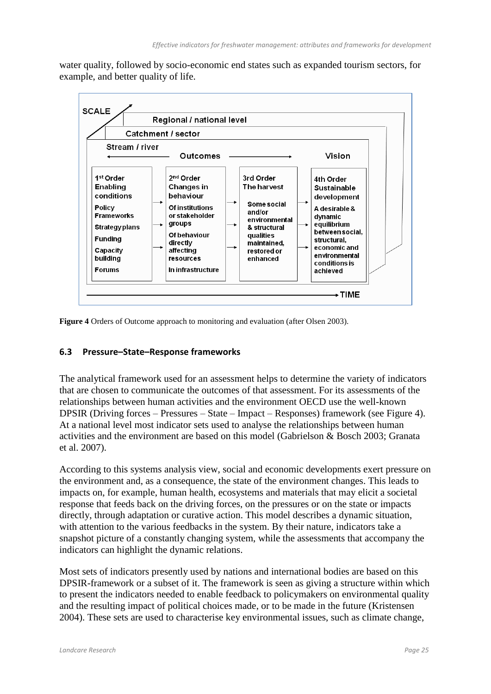water quality, followed by socio-economic end states such as expanded tourism sectors, for example, and better quality of life.



**Figure 4** Orders of Outcome approach to monitoring and evaluation (after Olsen 2003).

#### **6.3 Pressure–State–Response frameworks**

The analytical framework used for an assessment helps to determine the variety of indicators that are chosen to communicate the outcomes of that assessment. For its assessments of the relationships between human activities and the environment OECD use the well-known DPSIR (Driving forces – Pressures – State – Impact – Responses) framework (see Figure 4). At a national level most indicator sets used to analyse the relationships between human activities and the environment are based on this model (Gabrielson & Bosch 2003; Granata et al. 2007).

According to this systems analysis view, social and economic developments exert pressure on the environment and, as a consequence, the state of the environment changes. This leads to impacts on, for example, human health, ecosystems and materials that may elicit a societal response that feeds back on the driving forces, on the pressures or on the state or impacts directly, through adaptation or curative action. This model describes a dynamic situation, with attention to the various feedbacks in the system. By their nature, indicators take a snapshot picture of a constantly changing system, while the assessments that accompany the indicators can highlight the dynamic relations.

Most sets of indicators presently used by nations and international bodies are based on this DPSIR-framework or a subset of it. The framework is seen as giving a structure within which to present the indicators needed to enable feedback to policymakers on environmental quality and the resulting impact of political choices made, or to be made in the future (Kristensen 2004). These sets are used to characterise key environmental issues, such as climate change,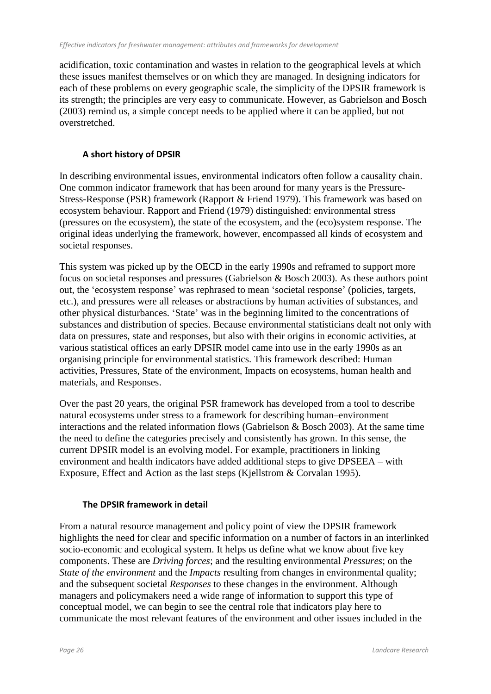acidification, toxic contamination and wastes in relation to the geographical levels at which these issues manifest themselves or on which they are managed. In designing indicators for each of these problems on every geographic scale, the simplicity of the DPSIR framework is its strength; the principles are very easy to communicate. However, as Gabrielson and Bosch (2003) remind us, a simple concept needs to be applied where it can be applied, but not overstretched.

### **A short history of DPSIR**

In describing environmental issues, environmental indicators often follow a causality chain. One common indicator framework that has been around for many years is the Pressure-Stress-Response (PSR) framework (Rapport & Friend 1979). This framework was based on ecosystem behaviour. Rapport and Friend (1979) distinguished: environmental stress (pressures on the ecosystem), the state of the ecosystem, and the (eco)system response. The original ideas underlying the framework, however, encompassed all kinds of ecosystem and societal responses.

This system was picked up by the OECD in the early 1990s and reframed to support more focus on societal responses and pressures (Gabrielson & Bosch 2003). As these authors point out, the 'ecosystem response' was rephrased to mean 'societal response' (policies, targets, etc.), and pressures were all releases or abstractions by human activities of substances, and other physical disturbances. 'State' was in the beginning limited to the concentrations of substances and distribution of species. Because environmental statisticians dealt not only with data on pressures, state and responses, but also with their origins in economic activities, at various statistical offices an early DPSIR model came into use in the early 1990s as an organising principle for environmental statistics. This framework described: Human activities, Pressures, State of the environment, Impacts on ecosystems, human health and materials, and Responses.

Over the past 20 years, the original PSR framework has developed from a tool to describe natural ecosystems under stress to a framework for describing human–environment interactions and the related information flows (Gabrielson & Bosch 2003). At the same time the need to define the categories precisely and consistently has grown. In this sense, the current DPSIR model is an evolving model. For example, practitioners in linking environment and health indicators have added additional steps to give DPSEEA – with Exposure, Effect and Action as the last steps (Kjellstrom & Corvalan 1995).

#### **The DPSIR framework in detail**

From a natural resource management and policy point of view the DPSIR framework highlights the need for clear and specific information on a number of factors in an interlinked socio-economic and ecological system. It helps us define what we know about five key components. These are *Driving forces*; and the resulting environmental *Pressures*; on the *State of the environment* and the *Impacts* resulting from changes in environmental quality; and the subsequent societal *Responses* to these changes in the environment. Although managers and policymakers need a wide range of information to support this type of conceptual model, we can begin to see the central role that indicators play here to communicate the most relevant features of the environment and other issues included in the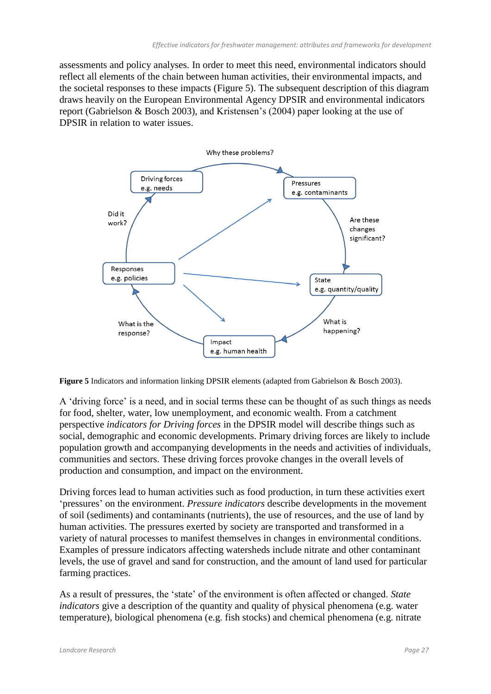assessments and policy analyses. In order to meet this need, environmental indicators should reflect all elements of the chain between human activities, their environmental impacts, and the societal responses to these impacts (Figure 5). The subsequent description of this diagram draws heavily on the European Environmental Agency DPSIR and environmental indicators report (Gabrielson & Bosch 2003), and Kristensen's (2004) paper looking at the use of DPSIR in relation to water issues.



**Figure 5** Indicators and information linking DPSIR elements (adapted from Gabrielson & Bosch 2003).

A 'driving force' is a need, and in social terms these can be thought of as such things as needs for food, shelter, water, low unemployment, and economic wealth. From a catchment perspective *indicators for Driving forces* in the DPSIR model will describe things such as social, demographic and economic developments. Primary driving forces are likely to include population growth and accompanying developments in the needs and activities of individuals, communities and sectors. These driving forces provoke changes in the overall levels of production and consumption, and impact on the environment.

Driving forces lead to human activities such as food production, in turn these activities exert 'pressures' on the environment. *Pressure indicators* describe developments in the movement of soil (sediments) and contaminants (nutrients), the use of resources, and the use of land by human activities. The pressures exerted by society are transported and transformed in a variety of natural processes to manifest themselves in changes in environmental conditions. Examples of pressure indicators affecting watersheds include nitrate and other contaminant levels, the use of gravel and sand for construction, and the amount of land used for particular farming practices.

As a result of pressures, the 'state' of the environment is often affected or changed. *State indicators* give a description of the quantity and quality of physical phenomena (e.g. water temperature), biological phenomena (e.g. fish stocks) and chemical phenomena (e.g. nitrate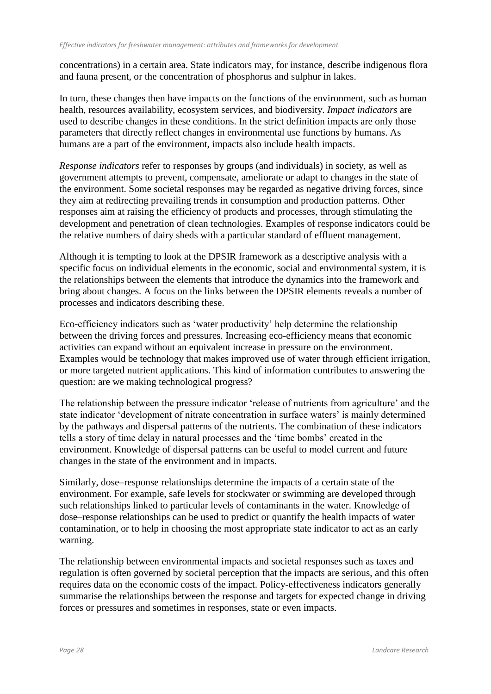concentrations) in a certain area. State indicators may, for instance, describe indigenous flora and fauna present, or the concentration of phosphorus and sulphur in lakes.

In turn, these changes then have impacts on the functions of the environment, such as human health, resources availability, ecosystem services, and biodiversity. *Impact indicators* are used to describe changes in these conditions. In the strict definition impacts are only those parameters that directly reflect changes in environmental use functions by humans. As humans are a part of the environment, impacts also include health impacts.

*Response indicators* refer to responses by groups (and individuals) in society, as well as government attempts to prevent, compensate, ameliorate or adapt to changes in the state of the environment. Some societal responses may be regarded as negative driving forces, since they aim at redirecting prevailing trends in consumption and production patterns. Other responses aim at raising the efficiency of products and processes, through stimulating the development and penetration of clean technologies. Examples of response indicators could be the relative numbers of dairy sheds with a particular standard of effluent management.

Although it is tempting to look at the DPSIR framework as a descriptive analysis with a specific focus on individual elements in the economic, social and environmental system, it is the relationships between the elements that introduce the dynamics into the framework and bring about changes. A focus on the links between the DPSIR elements reveals a number of processes and indicators describing these.

Eco-efficiency indicators such as 'water productivity' help determine the relationship between the driving forces and pressures. Increasing eco-efficiency means that economic activities can expand without an equivalent increase in pressure on the environment. Examples would be technology that makes improved use of water through efficient irrigation, or more targeted nutrient applications. This kind of information contributes to answering the question: are we making technological progress?

The relationship between the pressure indicator 'release of nutrients from agriculture' and the state indicator 'development of nitrate concentration in surface waters' is mainly determined by the pathways and dispersal patterns of the nutrients. The combination of these indicators tells a story of time delay in natural processes and the 'time bombs' created in the environment. Knowledge of dispersal patterns can be useful to model current and future changes in the state of the environment and in impacts.

Similarly, dose–response relationships determine the impacts of a certain state of the environment. For example, safe levels for stockwater or swimming are developed through such relationships linked to particular levels of contaminants in the water. Knowledge of dose–response relationships can be used to predict or quantify the health impacts of water contamination, or to help in choosing the most appropriate state indicator to act as an early warning.

The relationship between environmental impacts and societal responses such as taxes and regulation is often governed by societal perception that the impacts are serious, and this often requires data on the economic costs of the impact. Policy-effectiveness indicators generally summarise the relationships between the response and targets for expected change in driving forces or pressures and sometimes in responses, state or even impacts.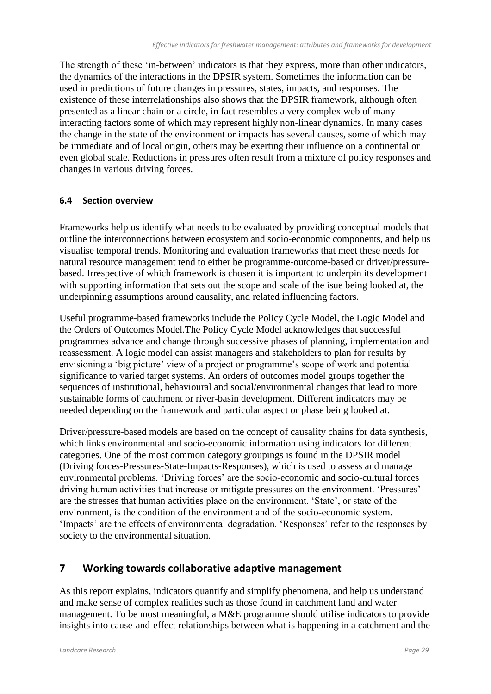The strength of these 'in-between' indicators is that they express, more than other indicators, the dynamics of the interactions in the DPSIR system. Sometimes the information can be used in predictions of future changes in pressures, states, impacts, and responses. The existence of these interrelationships also shows that the DPSIR framework, although often presented as a linear chain or a circle, in fact resembles a very complex web of many interacting factors some of which may represent highly non-linear dynamics. In many cases the change in the state of the environment or impacts has several causes, some of which may be immediate and of local origin, others may be exerting their influence on a continental or even global scale. Reductions in pressures often result from a mixture of policy responses and changes in various driving forces.

#### **6.4 Section overview**

Frameworks help us identify what needs to be evaluated by providing conceptual models that outline the interconnections between ecosystem and socio-economic components, and help us visualise temporal trends. Monitoring and evaluation frameworks that meet these needs for natural resource management tend to either be programme-outcome-based or driver/pressurebased. Irrespective of which framework is chosen it is important to underpin its development with supporting information that sets out the scope and scale of the isue being looked at, the underpinning assumptions around causality, and related influencing factors.

Useful programme-based frameworks include the Policy Cycle Model, the Logic Model and the Orders of Outcomes Model.The Policy Cycle Model acknowledges that successful programmes advance and change through successive phases of planning, implementation and reassessment. A logic model can assist managers and stakeholders to plan for results by envisioning a 'big picture' view of a project or programme's scope of work and potential significance to varied target systems. An orders of outcomes model groups together the sequences of institutional, behavioural and social/environmental changes that lead to more sustainable forms of catchment or river-basin development. Different indicators may be needed depending on the framework and particular aspect or phase being looked at.

Driver/pressure-based models are based on the concept of causality chains for data synthesis, which links environmental and socio-economic information using indicators for different categories. One of the most common category groupings is found in the DPSIR model (Driving forces-Pressures-State-Impacts-Responses), which is used to assess and manage environmental problems. 'Driving forces' are the socio-economic and socio-cultural forces driving human activities that increase or mitigate pressures on the environment. 'Pressures' are the stresses that human activities place on the environment. 'State', or state of the environment, is the condition of the environment and of the socio-economic system. 'Impacts' are the effects of environmental degradation. 'Responses' refer to the responses by society to the environmental situation.

## **7 Working towards collaborative adaptive management**

As this report explains, indicators quantify and simplify phenomena, and help us understand and make sense of complex realities such as those found in catchment land and water management. To be most meaningful, a M&E programme should utilise indicators to provide insights into cause-and-effect relationships between what is happening in a catchment and the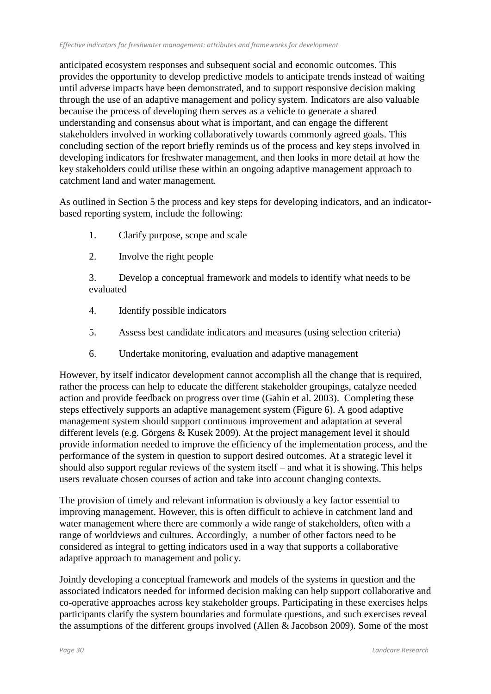anticipated ecosystem responses and subsequent social and economic outcomes. This provides the opportunity to develop predictive models to anticipate trends instead of waiting until adverse impacts have been demonstrated, and to support responsive decision making through the use of an adaptive management and policy system. Indicators are also valuable becauise the process of developing them serves as a vehicle to generate a shared understanding and consensus about what is important, and can engage the different stakeholders involved in working collaboratively towards commonly agreed goals. This concluding section of the report briefly reminds us of the process and key steps involved in developing indicators for freshwater management, and then looks in more detail at how the key stakeholders could utilise these within an ongoing adaptive management approach to catchment land and water management.

As outlined in Section 5 the process and key steps for developing indicators, and an indicatorbased reporting system, include the following:

- 1. Clarify purpose, scope and scale
- 2. Involve the right people

3. Develop a conceptual framework and models to identify what needs to be evaluated

- 4. Identify possible indicators
- 5. Assess best candidate indicators and measures (using selection criteria)
- 6. Undertake monitoring, evaluation and adaptive management

However, by itself indicator development cannot accomplish all the change that is required, rather the process can help to educate the different stakeholder groupings, catalyze needed action and provide feedback on progress over time (Gahin et al. 2003). Completing these steps effectively supports an adaptive management system (Figure 6). A good adaptive management system should support continuous improvement and adaptation at several different levels (e.g. Görgens & Kusek 2009). At the project management level it should provide information needed to improve the efficiency of the implementation process, and the performance of the system in question to support desired outcomes. At a strategic level it should also support regular reviews of the system itself – and what it is showing. This helps users revaluate chosen courses of action and take into account changing contexts.

The provision of timely and relevant information is obviously a key factor essential to improving management. However, this is often difficult to achieve in catchment land and water management where there are commonly a wide range of stakeholders, often with a range of worldviews and cultures. Accordingly, a number of other factors need to be considered as integral to getting indicators used in a way that supports a collaborative adaptive approach to management and policy.

Jointly developing a conceptual framework and models of the systems in question and the associated indicators needed for informed decision making can help support collaborative and co-operative approaches across key stakeholder groups. Participating in these exercises helps participants clarify the system boundaries and formulate questions, and such exercises reveal the assumptions of the different groups involved (Allen & Jacobson 2009). Some of the most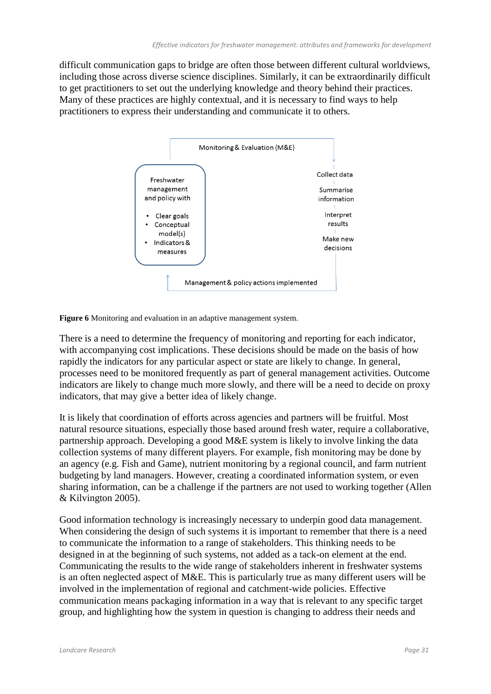difficult communication gaps to bridge are often those between different cultural worldviews, including those across diverse science disciplines. Similarly, it can be extraordinarily difficult to get practitioners to set out the underlying knowledge and theory behind their practices. Many of these practices are highly contextual, and it is necessary to find ways to help practitioners to express their understanding and communicate it to others.



**Figure 6** Monitoring and evaluation in an adaptive management system.

There is a need to determine the frequency of monitoring and reporting for each indicator, with accompanying cost implications. These decisions should be made on the basis of how rapidly the indicators for any particular aspect or state are likely to change. In general, processes need to be monitored frequently as part of general management activities. Outcome indicators are likely to change much more slowly, and there will be a need to decide on proxy indicators, that may give a better idea of likely change.

It is likely that coordination of efforts across agencies and partners will be fruitful. Most natural resource situations, especially those based around fresh water, require a collaborative, partnership approach. Developing a good M&E system is likely to involve linking the data collection systems of many different players. For example, fish monitoring may be done by an agency (e.g. Fish and Game), nutrient monitoring by a regional council, and farm nutrient budgeting by land managers. However, creating a coordinated information system, or even sharing information, can be a challenge if the partners are not used to working together (Allen & Kilvington 2005).

Good information technology is increasingly necessary to underpin good data management. When considering the design of such systems it is important to remember that there is a need to communicate the information to a range of stakeholders. This thinking needs to be designed in at the beginning of such systems, not added as a tack-on element at the end. Communicating the results to the wide range of stakeholders inherent in freshwater systems is an often neglected aspect of M&E. This is particularly true as many different users will be involved in the implementation of regional and catchment-wide policies. Effective communication means packaging information in a way that is relevant to any specific target group, and highlighting how the system in question is changing to address their needs and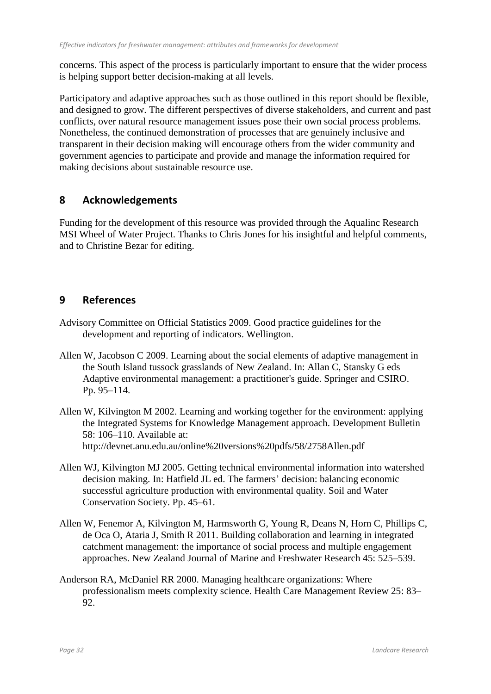concerns. This aspect of the process is particularly important to ensure that the wider process is helping support better decision-making at all levels.

Participatory and adaptive approaches such as those outlined in this report should be flexible, and designed to grow. The different perspectives of diverse stakeholders, and current and past conflicts, over natural resource management issues pose their own social process problems. Nonetheless, the continued demonstration of processes that are genuinely inclusive and transparent in their decision making will encourage others from the wider community and government agencies to participate and provide and manage the information required for making decisions about sustainable resource use.

## **8 Acknowledgements**

Funding for the development of this resource was provided through the Aqualinc Research MSI Wheel of Water Project. Thanks to Chris Jones for his insightful and helpful comments, and to Christine Bezar for editing.

## **9 References**

- Advisory Committee on Official Statistics 2009. Good practice guidelines for the development and reporting of indicators. Wellington.
- Allen W, Jacobson C 2009. Learning about the social elements of adaptive management in the South Island tussock grasslands of New Zealand. In: Allan C, Stansky G eds Adaptive environmental management: a practitioner's guide. Springer and CSIRO. Pp. 95–114.
- Allen W, Kilvington M 2002. Learning and working together for the environment: applying the Integrated Systems for Knowledge Management approach. Development Bulletin 58: 106–110. Available at: http://devnet.anu.edu.au/online%20versions%20pdfs/58/2758Allen.pdf
- Allen WJ, Kilvington MJ 2005. Getting technical environmental information into watershed decision making. In: Hatfield JL ed. The farmers' decision: balancing economic successful agriculture production with environmental quality. Soil and Water Conservation Society. Pp. 45–61.
- Allen W, Fenemor A, Kilvington M, Harmsworth G, Young R, Deans N, Horn C, Phillips C, de Oca O, Ataria J, Smith R 2011. Building collaboration and learning in integrated catchment management: the importance of social process and multiple engagement approaches. New Zealand Journal of Marine and Freshwater Research 45: 525–539.
- Anderson RA, McDaniel RR 2000. Managing healthcare organizations: Where professionalism meets complexity science. Health Care Management Review 25: 83– 92.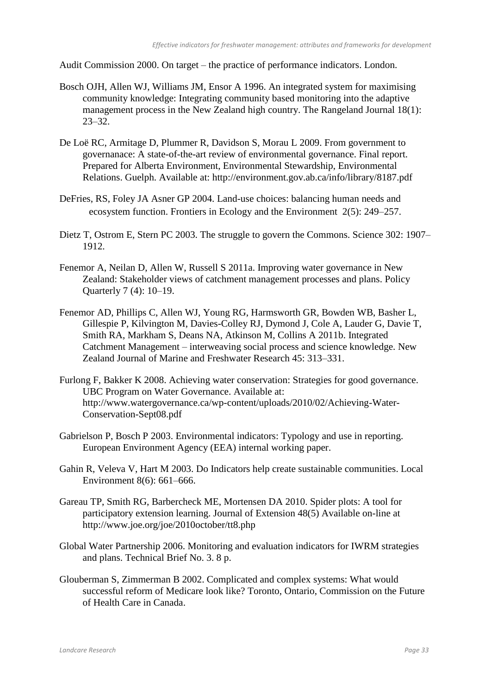Audit Commission 2000. On target – the practice of performance indicators. London.

- Bosch OJH, Allen WJ, Williams JM, Ensor A 1996. An integrated system for maximising community knowledge: Integrating community based monitoring into the adaptive management process in the New Zealand high country. The Rangeland Journal 18(1): 23–32.
- De Loë RC, Armitage D, Plummer R, Davidson S, Morau L 2009. From government to governanace: A state-of-the-art review of environmental governance. Final report. Prepared for Alberta Environment, Environmental Stewardship, Environmental Relations. Guelph. Available at: http://environment.gov.ab.ca/info/library/8187.pdf
- DeFries, RS, Foley JA Asner GP 2004. Land-use choices: balancing human needs and ecosystem function. Frontiers in Ecology and the Environment 2(5): 249–257.
- Dietz T, Ostrom E, Stern PC 2003. The struggle to govern the Commons. Science 302: 1907– 1912.
- Fenemor A, Neilan D, Allen W, Russell S 2011a. Improving water governance in New Zealand: Stakeholder views of catchment management processes and plans. Policy Quarterly 7 (4): 10–19.
- Fenemor AD, Phillips C, Allen WJ, Young RG, Harmsworth GR, Bowden WB, Basher L, Gillespie P, Kilvington M, Davies-Colley RJ, Dymond J, Cole A, Lauder G, Davie T, Smith RA, Markham S, Deans NA, Atkinson M, Collins A 2011b. Integrated Catchment Management – interweaving social process and science knowledge. New Zealand Journal of Marine and Freshwater Research 45: 313–331.
- Furlong F, Bakker K 2008. Achieving water conservation: Strategies for good governance. UBC Program on Water Governance. Available at: http://www.watergovernance.ca/wp-content/uploads/2010/02/Achieving-Water-Conservation-Sept08.pdf
- Gabrielson P, Bosch P 2003. Environmental indicators: Typology and use in reporting. European Environment Agency (EEA) internal working paper.
- Gahin R, Veleva V, Hart M 2003. Do Indicators help create sustainable communities. Local Environment 8(6): 661–666.
- Gareau TP, Smith RG, Barbercheck ME, Mortensen DA 2010. Spider plots: A tool for participatory extension learning. Journal of Extension 48(5) Available on-line at http://www.joe.org/joe/2010october/tt8.php
- Global Water Partnership 2006. Monitoring and evaluation indicators for IWRM strategies and plans. Technical Brief No. 3. 8 p.
- Glouberman S, Zimmerman B 2002. Complicated and complex systems: What would successful reform of Medicare look like? Toronto, Ontario, Commission on the Future of Health Care in Canada.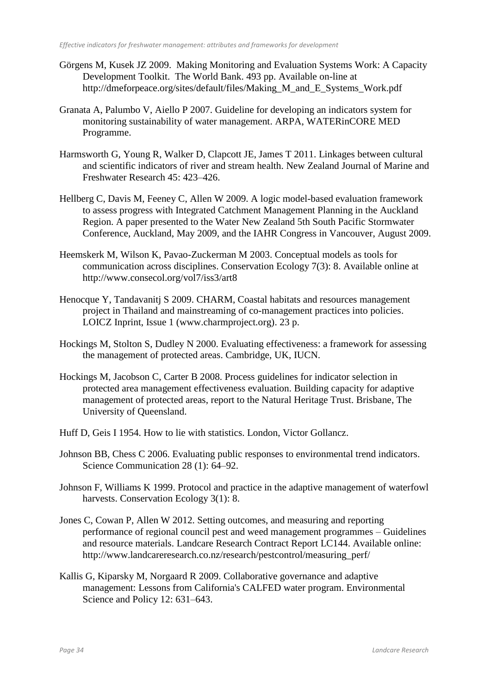- Görgens M, Kusek JZ 2009. Making Monitoring and Evaluation Systems Work: A Capacity Development Toolkit. The World Bank. 493 pp. Available on-line at http://dmeforpeace.org/sites/default/files/Making\_M\_and\_E\_Systems\_Work.pdf
- Granata A, Palumbo V, Aiello P 2007. Guideline for developing an indicators system for monitoring sustainability of water management. ARPA, WATERinCORE MED Programme.
- Harmsworth G, Young R, Walker D, Clapcott JE, James T 2011. Linkages between cultural and scientific indicators of river and stream health. New Zealand Journal of Marine and Freshwater Research 45: 423–426.
- Hellberg C, Davis M, Feeney C, Allen W 2009. A logic model-based evaluation framework to assess progress with Integrated Catchment Management Planning in the Auckland Region. A paper presented to the Water New Zealand 5th South Pacific Stormwater Conference, Auckland, May 2009, and the IAHR Congress in Vancouver, August 2009.
- Heemskerk M, Wilson K, Pavao-Zuckerman M 2003. Conceptual models as tools for communication across disciplines. Conservation Ecology 7(3): 8. Available online at http://www.consecol.org/vol7/iss3/art8
- Henocque Y, Tandavanitj S 2009. CHARM, Coastal habitats and resources management project in Thailand and mainstreaming of co-management practices into policies. LOICZ Inprint, Issue 1 (www.charmproject.org). 23 p.
- Hockings M, Stolton S, Dudley N 2000. Evaluating effectiveness: a framework for assessing the management of protected areas. Cambridge, UK, IUCN.
- Hockings M, Jacobson C, Carter B 2008. Process guidelines for indicator selection in protected area management effectiveness evaluation. Building capacity for adaptive management of protected areas, report to the Natural Heritage Trust. Brisbane, The University of Queensland.
- Huff D, Geis I 1954. How to lie with statistics. London, Victor Gollancz.
- Johnson BB, Chess C 2006. Evaluating public responses to environmental trend indicators. Science Communication 28 (1): 64–92.
- Johnson F, Williams K 1999. Protocol and practice in the adaptive management of waterfowl harvests. Conservation Ecology 3(1): 8.
- Jones C, Cowan P, Allen W 2012. Setting outcomes, and measuring and reporting performance of regional council pest and weed management programmes – Guidelines and resource materials. Landcare Research Contract Report LC144. Available online: http://www.landcareresearch.co.nz/research/pestcontrol/measuring\_perf/
- Kallis G, Kiparsky M, Norgaard R 2009. Collaborative governance and adaptive management: Lessons from California's CALFED water program. Environmental Science and Policy 12: 631–643.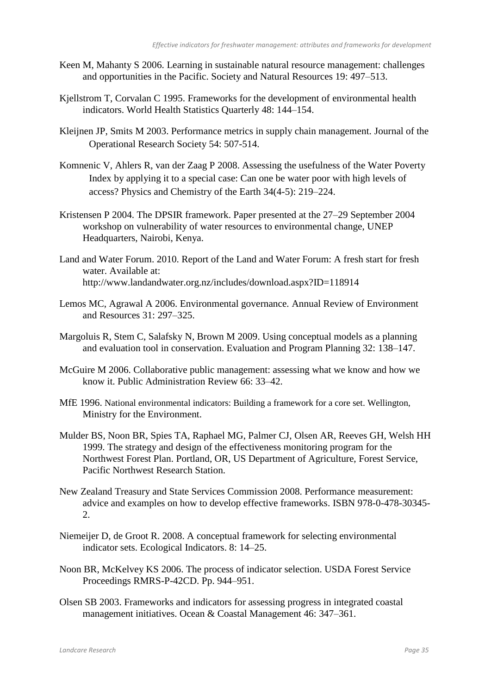- Keen M, Mahanty S 2006. Learning in sustainable natural resource management: challenges and opportunities in the Pacific. Society and Natural Resources 19: 497–513.
- Kjellstrom T, Corvalan C 1995. Frameworks for the development of environmental health indicators. World Health Statistics Quarterly 48: 144–154.
- Kleijnen JP, Smits M 2003. Performance metrics in supply chain management. Journal of the Operational Research Society 54: 507-514.
- Komnenic V, Ahlers R, van der Zaag P 2008. Assessing the usefulness of the Water Poverty Index by applying it to a special case: Can one be water poor with high levels of access? Physics and Chemistry of the Earth 34(4-5): 219–224.
- Kristensen P 2004. The DPSIR framework. Paper presented at the 27–29 September 2004 workshop on vulnerability of water resources to environmental change, UNEP Headquarters, Nairobi, Kenya.
- Land and Water Forum. 2010. Report of the Land and Water Forum: A fresh start for fresh water. Available at: http://www.landandwater.org.nz/includes/download.aspx?ID=118914
- Lemos MC, Agrawal A 2006. Environmental governance. Annual Review of Environment and Resources 31: 297–325.
- Margoluis R, Stem C, Salafsky N, Brown M 2009. Using conceptual models as a planning and evaluation tool in conservation. Evaluation and Program Planning 32: 138–147.
- McGuire M 2006. Collaborative public management: assessing what we know and how we know it. Public Administration Review 66: 33–42.
- MfE 1996. National environmental indicators: Building a framework for a core set. Wellington, Ministry for the Environment.
- Mulder BS, Noon BR, Spies TA, Raphael MG, Palmer CJ, Olsen AR, Reeves GH, Welsh HH 1999. The strategy and design of the effectiveness monitoring program for the Northwest Forest Plan. Portland, OR, US Department of Agriculture, Forest Service, Pacific Northwest Research Station.
- New Zealand Treasury and State Services Commission 2008. Performance measurement: advice and examples on how to develop effective frameworks. ISBN 978-0-478-30345- 2.
- Niemeijer D, de Groot R. 2008. A conceptual framework for selecting environmental indicator sets. Ecological Indicators. 8: 14–25.
- Noon BR, McKelvey KS 2006. The process of indicator selection. USDA Forest Service Proceedings RMRS-P-42CD. Pp. 944–951.
- Olsen SB 2003. Frameworks and indicators for assessing progress in integrated coastal management initiatives. Ocean & Coastal Management 46: 347–361.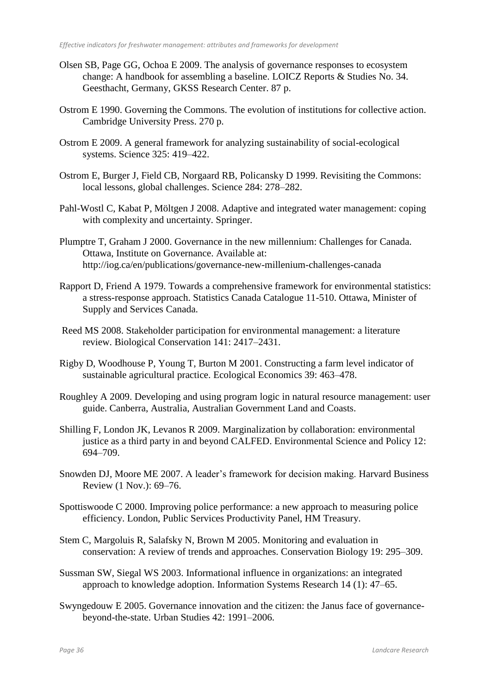- Olsen SB, Page GG, Ochoa E 2009. The analysis of governance responses to ecosystem change: A handbook for assembling a baseline. LOICZ Reports & Studies No. 34. Geesthacht, Germany, GKSS Research Center. 87 p.
- Ostrom E 1990. Governing the Commons. The evolution of institutions for collective action. Cambridge University Press. 270 p.
- Ostrom E 2009. A general framework for analyzing sustainability of social-ecological systems. Science 325: 419–422.
- Ostrom E, Burger J, Field CB, Norgaard RB, Policansky D 1999. Revisiting the Commons: local lessons, global challenges. Science 284: 278–282.
- Pahl-Wostl C, Kabat P, Möltgen J 2008. Adaptive and integrated water management: coping with complexity and uncertainty. Springer.
- Plumptre T, Graham J 2000. Governance in the new millennium: Challenges for Canada. Ottawa, Institute on Governance. Available at: http://iog.ca/en/publications/governance-new-millenium-challenges-canada
- Rapport D, Friend A 1979. Towards a comprehensive framework for environmental statistics: a stress-response approach. Statistics Canada Catalogue 11-510. Ottawa, Minister of Supply and Services Canada.
- Reed MS 2008. Stakeholder participation for environmental management: a literature review. Biological Conservation 141: 2417–2431.
- Rigby D, Woodhouse P, Young T, Burton M 2001. Constructing a farm level indicator of sustainable agricultural practice. Ecological Economics 39: 463–478.
- Roughley A 2009. Developing and using program logic in natural resource management: user guide. Canberra, Australia, Australian Government Land and Coasts.
- Shilling F, London JK, Levanos R 2009. Marginalization by collaboration: environmental justice as a third party in and beyond CALFED. Environmental Science and Policy 12: 694–709.
- Snowden DJ, Moore ME 2007. A leader's framework for decision making. Harvard Business Review (1 Nov.): 69–76.
- Spottiswoode C 2000. Improving police performance: a new approach to measuring police efficiency. London, Public Services Productivity Panel, HM Treasury.
- Stem C, Margoluis R, Salafsky N, Brown M 2005. Monitoring and evaluation in conservation: A review of trends and approaches. Conservation Biology 19: 295–309.
- Sussman SW, Siegal WS 2003. Informational influence in organizations: an integrated approach to knowledge adoption. Information Systems Research 14 (1): 47–65.
- Swyngedouw E 2005. Governance innovation and the citizen: the Janus face of governancebeyond-the-state. Urban Studies 42: 1991–2006.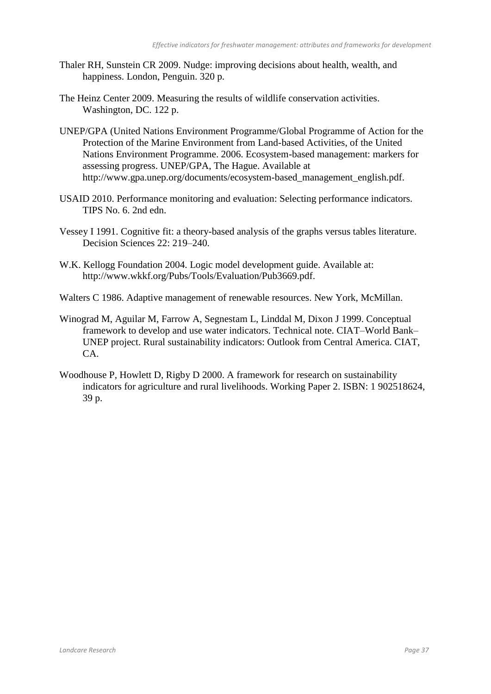- Thaler RH, Sunstein CR 2009. Nudge: improving decisions about health, wealth, and happiness. London, Penguin. 320 p.
- The Heinz Center 2009. Measuring the results of wildlife conservation activities. Washington, DC. 122 p.
- UNEP/GPA (United Nations Environment Programme/Global Programme of Action for the Protection of the Marine Environment from Land-based Activities, of the United Nations Environment Programme. 2006. Ecosystem-based management: markers for assessing progress. UNEP/GPA, The Hague. Available at http://www.gpa.unep.org/documents/ecosystem-based\_management\_english.pdf.
- USAID 2010. Performance monitoring and evaluation: Selecting performance indicators. TIPS No. 6. 2nd edn.
- Vessey I 1991. Cognitive fit: a theory-based analysis of the graphs versus tables literature. Decision Sciences 22: 219–240.
- W.K. Kellogg Foundation 2004. Logic model development guide. Available at: http://www.wkkf.org/Pubs/Tools/Evaluation/Pub3669.pdf.
- Walters C 1986. Adaptive management of renewable resources. New York, McMillan.
- Winograd M, Aguilar M, Farrow A, Segnestam L, Linddal M, Dixon J 1999. Conceptual framework to develop and use water indicators. Technical note. CIAT–World Bank– UNEP project. Rural sustainability indicators: Outlook from Central America. CIAT, CA.
- Woodhouse P, Howlett D, Rigby D 2000. A framework for research on sustainability indicators for agriculture and rural livelihoods. Working Paper 2. ISBN: 1 902518624, 39 p.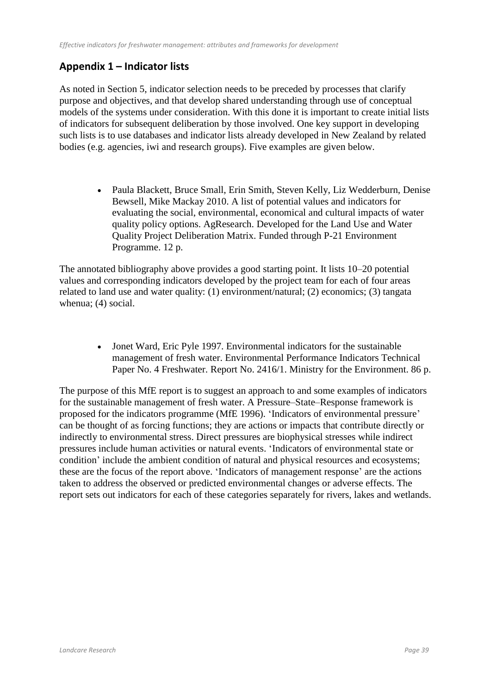## **Appendix 1 – Indicator lists**

As noted in Section 5, indicator selection needs to be preceded by processes that clarify purpose and objectives, and that develop shared understanding through use of conceptual models of the systems under consideration. With this done it is important to create initial lists of indicators for subsequent deliberation by those involved. One key support in developing such lists is to use databases and indicator lists already developed in New Zealand by related bodies (e.g. agencies, iwi and research groups). Five examples are given below.

> Paula Blackett, Bruce Small, Erin Smith, Steven Kelly, Liz Wedderburn, Denise Bewsell, Mike Mackay 2010. A list of potential values and indicators for evaluating the social, environmental, economical and cultural impacts of water quality policy options. AgResearch. Developed for the Land Use and Water Quality Project Deliberation Matrix. Funded through P-21 Environment Programme. 12 p.

The annotated bibliography above provides a good starting point. It lists 10–20 potential values and corresponding indicators developed by the project team for each of four areas related to land use and water quality: (1) environment/natural; (2) economics; (3) tangata whenua; (4) social.

> Jonet Ward, Eric Pyle 1997. Environmental indicators for the sustainable management of fresh water. Environmental Performance Indicators Technical Paper No. 4 Freshwater. Report No. 2416/1. Ministry for the Environment. 86 p.

The purpose of this MfE report is to suggest an approach to and some examples of indicators for the sustainable management of fresh water. A Pressure–State–Response framework is proposed for the indicators programme (MfE 1996). 'Indicators of environmental pressure' can be thought of as forcing functions; they are actions or impacts that contribute directly or indirectly to environmental stress. Direct pressures are biophysical stresses while indirect pressures include human activities or natural events. 'Indicators of environmental state or condition' include the ambient condition of natural and physical resources and ecosystems; these are the focus of the report above. 'Indicators of management response' are the actions taken to address the observed or predicted environmental changes or adverse effects. The report sets out indicators for each of these categories separately for rivers, lakes and wetlands.